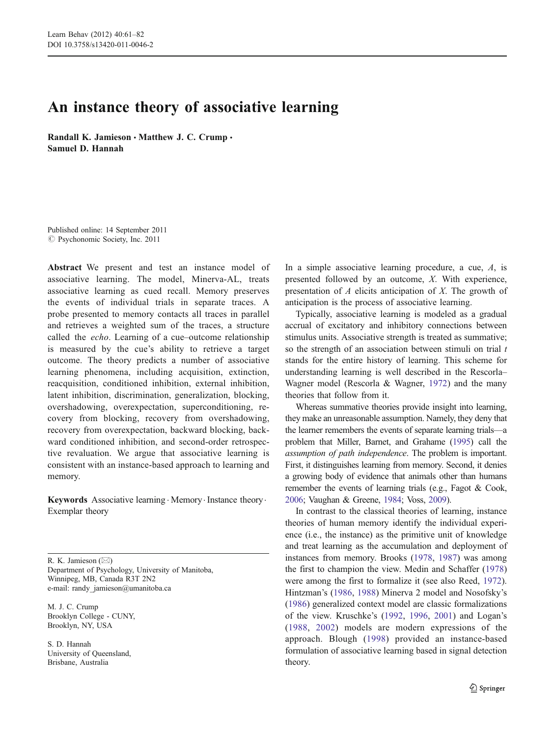# An instance theory of associative learning

Randall K. Jamieson · Matthew J. C. Crump · Samuel D. Hannah

Published online: 14 September 2011  $\odot$  Psychonomic Society, Inc. 2011

Abstract We present and test an instance model of associative learning. The model, Minerva-AL, treats associative learning as cued recall. Memory preserves the events of individual trials in separate traces. A probe presented to memory contacts all traces in parallel and retrieves a weighted sum of the traces, a structure called the echo. Learning of a cue–outcome relationship is measured by the cue's ability to retrieve a target outcome. The theory predicts a number of associative learning phenomena, including acquisition, extinction, reacquisition, conditioned inhibition, external inhibition, latent inhibition, discrimination, generalization, blocking, overshadowing, overexpectation, superconditioning, recovery from blocking, recovery from overshadowing, recovery from overexpectation, backward blocking, backward conditioned inhibition, and second-order retrospective revaluation. We argue that associative learning is consistent with an instance-based approach to learning and memory.

Keywords Associative learning . Memory. Instance theory. Exemplar theory

R. K. Jamieson  $(\boxtimes)$ Department of Psychology, University of Manitoba, Winnipeg, MB, Canada R3T 2N2 e-mail: randy\_jamieson@umanitoba.ca

M. J. C. Crump Brooklyn College - CUNY, Brooklyn, NY, USA

S. D. Hannah University of Queensland, Brisbane, Australia

In a simple associative learning procedure, a cue,  $A$ , is presented followed by an outcome, X. With experience, presentation of A elicits anticipation of X. The growth of anticipation is the process of associative learning.

Typically, associative learning is modeled as a gradual accrual of excitatory and inhibitory connections between stimulus units. Associative strength is treated as summative; so the strength of an association between stimuli on trial  $t$ stands for the entire history of learning. This scheme for understanding learning is well described in the Rescorla– Wagner model (Rescorla & Wagner, [1972](#page-21-0)) and the many theories that follow from it.

Whereas summative theories provide insight into learning, they make an unreasonable assumption. Namely, they deny that the learner remembers the events of separate learning trials—a problem that Miller, Barnet, and Grahame [\(1995](#page-20-0)) call the assumption of path independence. The problem is important. First, it distinguishes learning from memory. Second, it denies a growing body of evidence that animals other than humans remember the events of learning trials (e.g., Fagot & Cook, [2006](#page-19-0); Vaughan & Greene, [1984;](#page-21-0) Voss, [2009](#page-21-0)).

In contrast to the classical theories of learning, instance theories of human memory identify the individual experience (i.e., the instance) as the primitive unit of knowledge and treat learning as the accumulation and deployment of instances from memory. Brooks [\(1978](#page-19-0), [1987\)](#page-19-0) was among the first to champion the view. Medin and Schaffer [\(1978](#page-20-0)) were among the first to formalize it (see also Reed, [1972\)](#page-20-0). Hintzman's ([1986,](#page-19-0) [1988](#page-19-0)) Minerva 2 model and Nosofsky's [\(1986](#page-20-0)) generalized context model are classic formalizations of the view. Kruschke's ([1992,](#page-20-0) [1996](#page-20-0), [2001](#page-20-0)) and Logan's ([1988](#page-20-0), [2002\)](#page-20-0) models are modern expressions of the approach. Blough ([1998](#page-19-0)) provided an instance-based formulation of associative learning based in signal detection theory.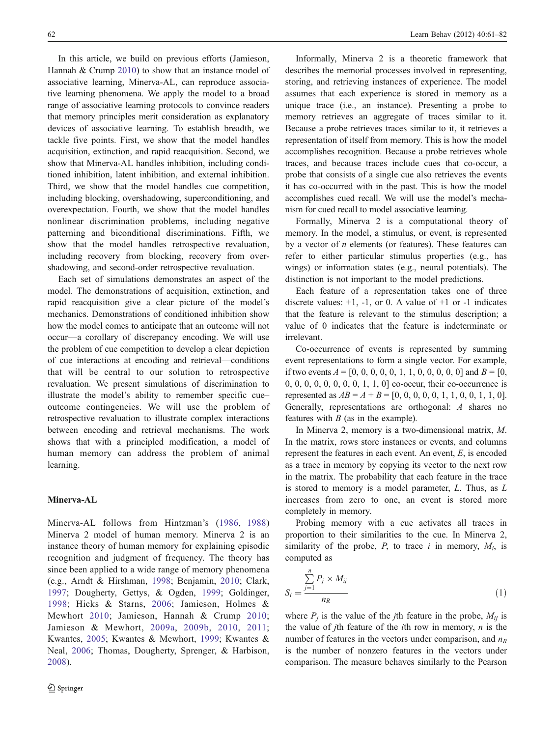<span id="page-1-0"></span>In this article, we build on previous efforts (Jamieson, Hannah & Crump [2010](#page-20-0)) to show that an instance model of associative learning, Minerva-AL, can reproduce associative learning phenomena. We apply the model to a broad range of associative learning protocols to convince readers that memory principles merit consideration as explanatory devices of associative learning. To establish breadth, we tackle five points. First, we show that the model handles acquisition, extinction, and rapid reacquisition. Second, we show that Minerva-AL handles inhibition, including conditioned inhibition, latent inhibition, and external inhibition. Third, we show that the model handles cue competition, including blocking, overshadowing, superconditioning, and overexpectation. Fourth, we show that the model handles nonlinear discrimination problems, including negative patterning and biconditional discriminations. Fifth, we show that the model handles retrospective revaluation, including recovery from blocking, recovery from overshadowing, and second-order retrospective revaluation.

Each set of simulations demonstrates an aspect of the model. The demonstrations of acquisition, extinction, and rapid reacquisition give a clear picture of the model's mechanics. Demonstrations of conditioned inhibition show how the model comes to anticipate that an outcome will not occur—a corollary of discrepancy encoding. We will use the problem of cue competition to develop a clear depiction of cue interactions at encoding and retrieval—conditions that will be central to our solution to retrospective revaluation. We present simulations of discrimination to illustrate the model's ability to remember specific cue– outcome contingencies. We will use the problem of retrospective revaluation to illustrate complex interactions between encoding and retrieval mechanisms. The work shows that with a principled modification, a model of human memory can address the problem of animal learning.

# Minerva-AL

Minerva-AL follows from Hintzman's [\(1986](#page-19-0), [1988\)](#page-19-0) Minerva 2 model of human memory. Minerva 2 is an instance theory of human memory for explaining episodic recognition and judgment of frequency. The theory has since been applied to a wide range of memory phenomena (e.g., Arndt & Hirshman, [1998](#page-19-0); Benjamin, [2010](#page-19-0); Clark, [1997](#page-19-0); Dougherty, Gettys, & Ogden, [1999;](#page-19-0) Goldinger, [1998](#page-19-0); Hicks & Starns, [2006](#page-19-0); Jamieson, Holmes & Mewhort [2010](#page-20-0); Jamieson, Hannah & Crump [2010](#page-20-0); Jamieson & Mewhort, [2009a,](#page-20-0) [2009b](#page-20-0), [2010,](#page-20-0) [2011](#page-20-0); Kwantes, [2005](#page-20-0); Kwantes & Mewhort, [1999](#page-20-0); Kwantes & Neal, [2006](#page-20-0); Thomas, Dougherty, Sprenger, & Harbison, [2008](#page-21-0)).

Informally, Minerva 2 is a theoretic framework that describes the memorial processes involved in representing, storing, and retrieving instances of experience. The model assumes that each experience is stored in memory as a unique trace (i.e., an instance). Presenting a probe to memory retrieves an aggregate of traces similar to it. Because a probe retrieves traces similar to it, it retrieves a representation of itself from memory. This is how the model accomplishes recognition. Because a probe retrieves whole traces, and because traces include cues that co-occur, a probe that consists of a single cue also retrieves the events it has co-occurred with in the past. This is how the model accomplishes cued recall. We will use the model's mechanism for cued recall to model associative learning.

Formally, Minerva 2 is a computational theory of memory. In the model, a stimulus, or event, is represented by a vector of  $n$  elements (or features). These features can refer to either particular stimulus properties (e.g., has wings) or information states (e.g., neural potentials). The distinction is not important to the model predictions.

Each feature of a representation takes one of three discrete values:  $+1$ ,  $-1$ , or 0. A value of  $+1$  or  $-1$  indicates that the feature is relevant to the stimulus description; a value of 0 indicates that the feature is indeterminate or irrelevant.

Co-occurrence of events is represented by summing event representations to form a single vector. For example, if two events  $A = [0, 0, 0, 0, 0, 1, 1, 0, 0, 0, 0, 0]$  and  $B = [0, 0, 0, 0, 0, 0, 0]$ 0, 0, 0, 0, 0, 0, 0, 0, 1, 1, 0] co-occur, their co-occurrence is represented as  $AB = A + B = [0, 0, 0, 0, 0, 1, 1, 0, 0, 1, 1, 0]$ . Generally, representations are orthogonal: A shares no features with  $B$  (as in the example).

In Minerva 2, memory is a two-dimensional matrix, M. In the matrix, rows store instances or events, and columns represent the features in each event. An event,  $E$ , is encoded as a trace in memory by copying its vector to the next row in the matrix. The probability that each feature in the trace is stored to memory is a model parameter, L. Thus, as L increases from zero to one, an event is stored more completely in memory.

Probing memory with a cue activates all traces in proportion to their similarities to the cue. In Minerva 2, similarity of the probe,  $P$ , to trace i in memory,  $M_i$ , is computed as

$$
S_i = \frac{\sum_{j=1}^{n} P_j \times M_{ij}}{n_R} \tag{1}
$$

where  $P_i$  is the value of the *j*th feature in the probe,  $M_{ii}$  is the value of *j*th feature of the *i*th row in memory, *n* is the number of features in the vectors under comparison, and  $n_R$ is the number of nonzero features in the vectors under comparison. The measure behaves similarly to the Pearson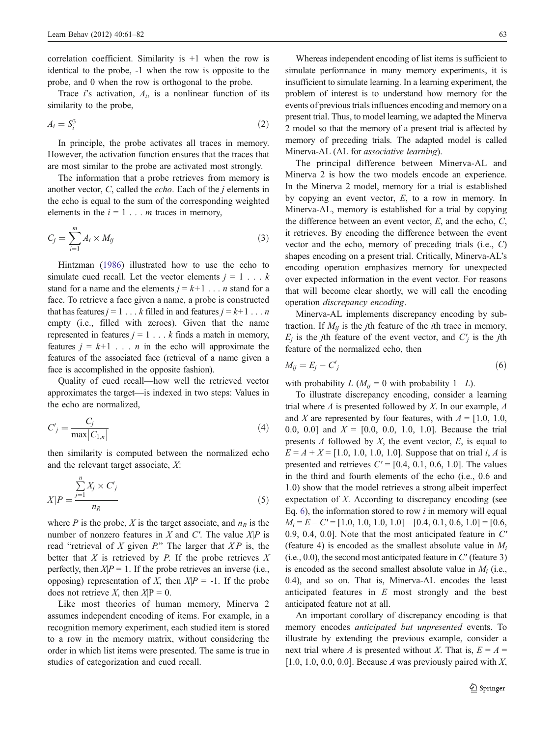<span id="page-2-0"></span>correlation coefficient. Similarity is  $+1$  when the row is identical to the probe, -1 when the row is opposite to the probe, and 0 when the row is orthogonal to the probe.

Trace i's activation,  $A_i$ , is a nonlinear function of its similarity to the probe,

$$
A_i = S_i^3 \tag{2}
$$

In principle, the probe activates all traces in memory. However, the activation function ensures that the traces that are most similar to the probe are activated most strongly.

The information that a probe retrieves from memory is another vector, C, called the *echo*. Each of the *j* elements in the echo is equal to the sum of the corresponding weighted elements in the  $i = 1 \ldots m$  traces in memory,

$$
C_j = \sum_{i=1}^m A_i \times M_{ij} \tag{3}
$$

Hintzman [\(1986](#page-19-0)) illustrated how to use the echo to simulate cued recall. Let the vector elements  $j = 1...k$ stand for a name and the elements  $j = k+1 \ldots n$  stand for a face. To retrieve a face given a name, a probe is constructed that has features  $j = 1 \ldots k$  filled in and features  $j = k+1 \ldots n$ empty (i.e., filled with zeroes). Given that the name represented in features  $j = 1 \ldots k$  finds a match in memory, features  $j = k+1$ ... *n* in the echo will approximate the features of the associated face (retrieval of a name given a face is accomplished in the opposite fashion).

Quality of cued recall—how well the retrieved vector approximates the target—is indexed in two steps: Values in the echo are normalized,

$$
C'_{j} = \frac{C_{j}}{\max |C_{1,n}|} \tag{4}
$$

then similarity is computed between the normalized echo and the relevant target associate, X:

$$
X|P = \frac{\sum_{j=1}^{n} X_j \times C_j}{n_R}
$$
\n<sup>(5)</sup>

where  $P$  is the probe,  $X$  is the target associate, and  $n_R$  is the number of nonzero features in X and C'. The value  $X|P$  is read "retrieval of X given P." The larger that  $X|P$  is, the better that  $X$  is retrieved by  $P$ . If the probe retrieves  $X$ perfectly, then  $X|P = 1$ . If the probe retrieves an inverse (i.e., opposing) representation of X, then  $X|P = -1$ . If the probe does not retrieve X, then  $X|P = 0$ .

Like most theories of human memory, Minerva 2 assumes independent encoding of items. For example, in a recognition memory experiment, each studied item is stored to a row in the memory matrix, without considering the order in which list items were presented. The same is true in studies of categorization and cued recall.

Whereas independent encoding of list items is sufficient to simulate performance in many memory experiments, it is insufficient to simulate learning. In a learning experiment, the problem of interest is to understand how memory for the events of previous trials influences encoding and memory on a present trial. Thus, to model learning, we adapted the Minerva 2 model so that the memory of a present trial is affected by memory of preceding trials. The adapted model is called Minerva-AL (AL for associative learning).

The principal difference between Minerva-AL and Minerva 2 is how the two models encode an experience. In the Minerva 2 model, memory for a trial is established by copying an event vector,  $E$ , to a row in memory. In Minerva-AL, memory is established for a trial by copying the difference between an event vector,  $E$ , and the echo,  $C$ , it retrieves. By encoding the difference between the event vector and the echo, memory of preceding trials (i.e., C) shapes encoding on a present trial. Critically, Minerva-AL's encoding operation emphasizes memory for unexpected over expected information in the event vector. For reasons that will become clear shortly, we will call the encoding operation discrepancy encoding.

Minerva-AL implements discrepancy encoding by subtraction. If  $M_{ii}$  is the *j*th feature of the *i*th trace in memory,  $E_i$  is the jth feature of the event vector, and  $C'_i$  is the jth feature of the normalized echo, then

$$
M_{ij} = E_j - C'_j \tag{6}
$$

with probability  $L$  ( $M_{ij} = 0$  with probability 1 –L).

To illustrate discrepancy encoding, consider a learning trial where  $A$  is presented followed by  $X$ . In our example,  $A$ and X are represented by four features, with  $A = [1.0, 1.0, 1.0]$ 0.0, 0.0] and  $X = [0.0, 0.0, 1.0, 1.0]$ . Because the trial presents  $A$  followed by  $X$ , the event vector,  $E$ , is equal to  $E = A + X = [1.0, 1.0, 1.0, 1.0]$ . Suppose that on trial *i*, *A* is presented and retrieves  $C' = [0.4, 0.1, 0.6, 1.0]$ . The values in the third and fourth elements of the echo (i.e., 0.6 and 1.0) show that the model retrieves a strong albeit imperfect expectation of X. According to discrepancy encoding (see Eq.  $6$ ), the information stored to row *i* in memory will equal  $M_i = E - C' = [1.0, 1.0, 1.0, 1.0] - [0.4, 0.1, 0.6, 1.0] = [0.6,$ 0.9, 0.4, 0.0]. Note that the most anticipated feature in C' (feature 4) is encoded as the smallest absolute value in  $M_i$ (i.e.,  $(0.0)$ ), the second most anticipated feature in C' (feature 3) is encoded as the second smallest absolute value in  $M_i$  (i.e., 0.4), and so on. That is, Minerva-AL encodes the least anticipated features in  $E$  most strongly and the best anticipated feature not at all.

An important corollary of discrepancy encoding is that memory encodes anticipated but unpresented events. To illustrate by extending the previous example, consider a next trial where A is presented without X. That is,  $E = A =$ [1.0, 1.0, 0.0, 0.0]. Because A was previously paired with  $X$ ,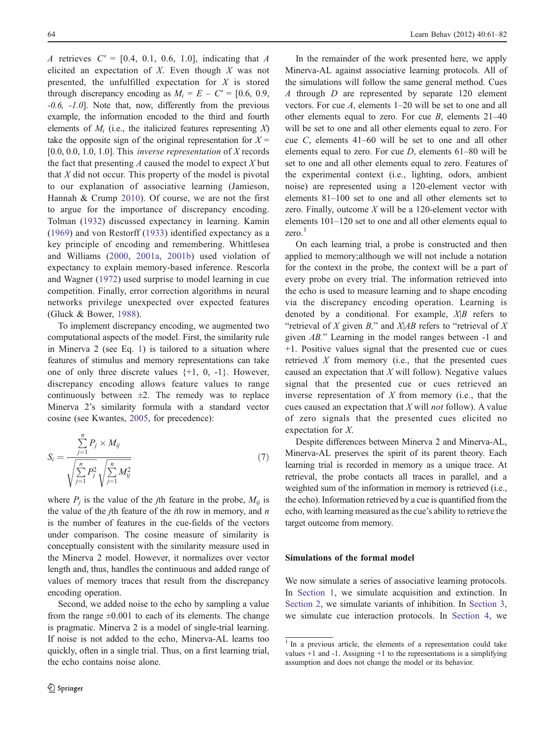A retrieves  $C' = [0.4, 0.1, 0.6, 1.0]$ , indicating that A elicited an expectation of  $X$ . Even though  $X$  was not presented, the unfulfilled expectation for  $X$  is stored through discrepancy encoding as  $M_i = E - C' = [0.6, 0.9,$ -0.6, -1.0]. Note that, now, differently from the previous example, the information encoded to the third and fourth elements of  $M_i$  (i.e., the italicized features representing  $X$ ) take the opposite sign of the original representation for  $X =$ [0.0, 0.0, 1.0, 1.0]. This *inverse representation* of  $X$  records the fact that presenting  $A$  caused the model to expect  $X$  but that  $X$  did not occur. This property of the model is pivotal to our explanation of associative learning (Jamieson, Hannah & Crump [2010\)](#page-20-0). Of course, we are not the first to argue for the importance of discrepancy encoding. Tolman [\(1932\)](#page-21-0) discussed expectancy in learning. Kamin [\(1969\)](#page-20-0) and von Restorff [\(1933\)](#page-21-0) identified expectancy as a key principle of encoding and remembering. Whittlesea and Williams [\(2000,](#page-21-0) [2001a](#page-21-0), [2001b](#page-21-0)) used violation of expectancy to explain memory-based inference. Rescorla and Wagner ([1972](#page-21-0)) used surprise to model learning in cue competition. Finally, error correction algorithms in neural networks privilege unexpected over expected features (Gluck & Bower, [1988](#page-19-0)).

To implement discrepancy encoding, we augmented two computational aspects of the model. First, the similarity rule in Minerva 2 (see Eq. [1](#page-1-0)) is tailored to a situation where features of stimulus and memory representations can take one of only three discrete values  $\{+1, 0, -1\}$ . However, discrepancy encoding allows feature values to range continuously between  $\pm 2$ . The remedy was to replace Minerva 2's similarity formula with a standard vector cosine (see Kwantes, [2005](#page-20-0), for precedence):

$$
S_{i} = \frac{\sum_{j=1}^{n} P_{j} \times M_{ij}}{\sqrt{\sum_{j=1}^{n} P_{j}^{2}} \sqrt{\sum_{j=1}^{n} M_{ij}^{2}}}
$$
(7)

where  $P_i$  is the value of the jth feature in the probe,  $M_{ii}$  is the value of the *j*th feature of the *i*th row in memory, and  $n$ is the number of features in the cue-fields of the vectors under comparison. The cosine measure of similarity is conceptually consistent with the similarity measure used in the Minerva 2 model. However, it normalizes over vector length and, thus, handles the continuous and added range of values of memory traces that result from the discrepancy encoding operation.

Second, we added noise to the echo by sampling a value from the range  $\pm 0.001$  to each of its elements. The change is pragmatic. Minerva 2 is a model of single-trial learning. If noise is not added to the echo, Minerva-AL learns too quickly, often in a single trial. Thus, on a first learning trial, the echo contains noise alone.

In the remainder of the work presented here, we apply Minerva-AL against associative learning protocols. All of the simulations will follow the same general method. Cues A through D are represented by separate 120 element vectors. For cue A, elements 1–20 will be set to one and all other elements equal to zero. For cue  $B$ , elements 21–40 will be set to one and all other elements equal to zero. For cue C, elements 41–60 will be set to one and all other elements equal to zero. For cue  $D$ , elements 61–80 will be set to one and all other elements equal to zero. Features of the experimental context (i.e., lighting, odors, ambient noise) are represented using a 120-element vector with elements 81–100 set to one and all other elements set to zero. Finally, outcome  $X$  will be a 120-element vector with elements 101–120 set to one and all other elements equal to zero. $1$ 

On each learning trial, a probe is constructed and then applied to memory;although we will not include a notation for the context in the probe, the context will be a part of every probe on every trial. The information retrieved into the echo is used to measure learning and to shape encoding via the discrepancy encoding operation. Learning is denoted by a conditional. For example,  $X|B$  refers to "retrieval of X given B," and  $X|AB$  refers to "retrieval of X" given AB." Learning in the model ranges between -1 and +1. Positive values signal that the presented cue or cues retrieved  $X$  from memory (i.e., that the presented cues caused an expectation that  $X$  will follow). Negative values signal that the presented cue or cues retrieved an inverse representation of  $X$  from memory (i.e., that the cues caused an expectation that  $X$  will *not* follow). A value of zero signals that the presented cues elicited no expectation for X.

Despite differences between Minerva 2 and Minerva-AL, Minerva-AL preserves the spirit of its parent theory. Each learning trial is recorded in memory as a unique trace. At retrieval, the probe contacts all traces in parallel, and a weighted sum of the information in memory is retrieved (i.e., the echo). Information retrieved by a cue is quantified from the echo, with learning measured as the cue's ability to retrieve the target outcome from memory.

# Simulations of the formal model

We now simulate a series of associative learning protocols. In [Section 1,](#page-4-0) we simulate acquisition and extinction. In [Section 2](#page-5-0), we simulate variants of inhibition. In [Section 3,](#page-7-0) we simulate cue interaction protocols. In [Section 4](#page-9-0), we

<sup>&</sup>lt;sup>1</sup> In a previous article, the elements of a representation could take values  $+1$  and  $-1$ . Assigning  $+1$  to the representations is a simplifying assumption and does not change the model or its behavior.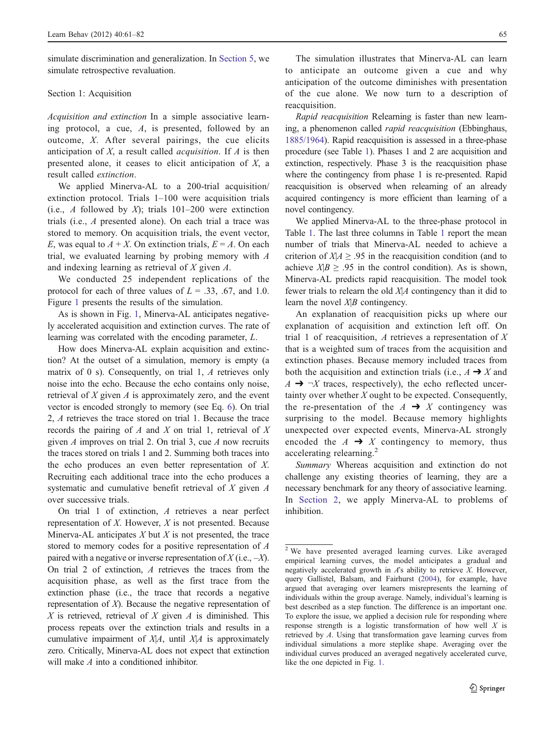<span id="page-4-0"></span>simulate discrimination and generalization. In [Section 5,](#page-13-0) we simulate retrospective revaluation.

# Section 1: Acquisition

Acquisition and extinction In a simple associative learning protocol, a cue, A, is presented, followed by an outcome, X. After several pairings, the cue elicits anticipation of  $X$ , a result called *acquisition*. If  $A$  is then presented alone, it ceases to elicit anticipation of X, a result called extinction.

We applied Minerva-AL to a 200-trial acquisition/ extinction protocol. Trials 1–100 were acquisition trials (i.e., A followed by X); trials  $101-200$  were extinction trials (i.e., A presented alone). On each trial a trace was stored to memory. On acquisition trials, the event vector, E, was equal to  $A + X$ . On extinction trials,  $E = A$ . On each trial, we evaluated learning by probing memory with A and indexing learning as retrieval of X given A.

We conducted 25 independent replications of the protocol for each of three values of  $L = .33, .67,$  and 1.0. Figure [1](#page-5-0) presents the results of the simulation.

As is shown in Fig. [1](#page-5-0), Minerva-AL anticipates negatively accelerated acquisition and extinction curves. The rate of learning was correlated with the encoding parameter, L.

How does Minerva-AL explain acquisition and extinction? At the outset of a simulation, memory is empty (a matrix of 0 s). Consequently, on trial 1, A retrieves only noise into the echo. Because the echo contains only noise, retrieval of  $X$  given  $A$  is approximately zero, and the event vector is encoded strongly to memory (see Eq. [6\)](#page-2-0). On trial 2, A retrieves the trace stored on trial 1. Because the trace records the pairing of  $A$  and  $X$  on trial 1, retrieval of  $X$ given A improves on trial 2. On trial 3, cue A now recruits the traces stored on trials 1 and 2. Summing both traces into the echo produces an even better representation of X. Recruiting each additional trace into the echo produces a systematic and cumulative benefit retrieval of X given A over successive trials.

On trial 1 of extinction, A retrieves a near perfect representation of  $X$ . However,  $X$  is not presented. Because Minerva-AL anticipates  $X$  but  $X$  is not presented, the trace stored to memory codes for a positive representation of A paired with a negative or inverse representation of  $X$  (i.e.,  $-X$ ). On trial 2 of extinction, A retrieves the traces from the acquisition phase, as well as the first trace from the extinction phase (i.e., the trace that records a negative representation of  $X$ ). Because the negative representation of X is retrieved, retrieval of X given A is diminished. This process repeats over the extinction trials and results in a cumulative impairment of  $X|A$ , until  $X|A$  is approximately zero. Critically, Minerva-AL does not expect that extinction will make A into a conditioned inhibitor.

The simulation illustrates that Minerva-AL can learn to anticipate an outcome given a cue and why anticipation of the outcome diminishes with presentation of the cue alone. We now turn to a description of reacquisition.

Rapid reacquisition Relearning is faster than new learning, a phenomenon called rapid reacquisition (Ebbinghaus, [1885/1964\)](#page-19-0). Rapid reacquisition is assessed in a three-phase procedure (see Table [1\)](#page-5-0). Phases 1 and 2 are acquisition and extinction, respectively. Phase 3 is the reacquisition phase where the contingency from phase 1 is re-presented. Rapid reacquisition is observed when relearning of an already acquired contingency is more efficient than learning of a novel contingency.

We applied Minerva-AL to the three-phase protocol in Table [1](#page-5-0). The last three columns in Table [1](#page-5-0) report the mean number of trials that Minerva-AL needed to achieve a criterion of  $X|A \geq .95$  in the reacquisition condition (and to achieve  $X|B \geq .95$  in the control condition). As is shown, Minerva-AL predicts rapid reacquisition. The model took fewer trials to relearn the old  $X$  a contingency than it did to learn the novel  $X|B$  contingency.

An explanation of reacquisition picks up where our explanation of acquisition and extinction left off. On trial 1 of reacquisition,  $A$  retrieves a representation of  $X$ that is a weighted sum of traces from the acquisition and extinction phases. Because memory included traces from both the acquisition and extinction trials (i.e.,  $A \rightarrow X$  and  $A \rightarrow \neg X$  traces, respectively), the echo reflected uncertainty over whether  $X$  ought to be expected. Consequently, the re-presentation of the  $A \rightarrow X$  contingency was surprising to the model. Because memory highlights unexpected over expected events, Minerva-AL strongly encoded the  $A \rightarrow X$  contingency to memory, thus accelerating relearning.<sup>2</sup>

Summary Whereas acquisition and extinction do not challenge any existing theories of learning, they are a necessary benchmark for any theory of associative learning. In [Section 2](#page-5-0), we apply Minerva-AL to problems of inhibition.

<sup>2</sup> We have presented averaged learning curves. Like averaged empirical learning curves, the model anticipates a gradual and negatively accelerated growth in A's ability to retrieve X. However, query Gallistel, Balsam, and Fairhurst ([2004\)](#page-19-0), for example, have argued that averaging over learners misrepresents the learning of individuals within the group average. Namely, individual's learning is best described as a step function. The difference is an important one. To explore the issue, we applied a decision rule for responding where response strength is a logistic transformation of how well  $X$  is retrieved by A. Using that transformation gave learning curves from individual simulations a more steplike shape. Averaging over the individual curves produced an averaged negatively accelerated curve, like the one depicted in Fig. [1](#page-5-0).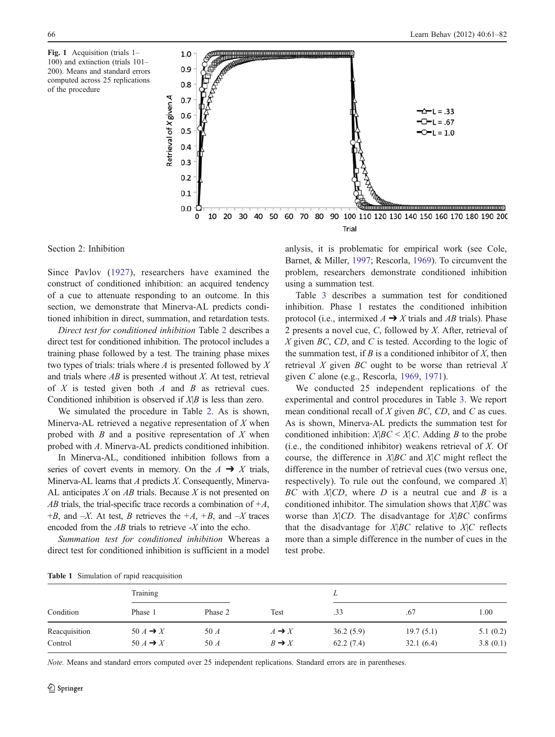<span id="page-5-0"></span>Fig. 1 Acquisition (trials 1– 100) and extinction (trials 101– 200). Means and standard errors computed across 25 replications of the procedure



Section 2: Inhibition

Since Pavlov ([1927](#page-20-0)), researchers have examined the construct of conditioned inhibition: an acquired tendency of a cue to attenuate responding to an outcome. In this section, we demonstrate that Minerva-AL predicts conditioned inhibition in direct, summation, and retardation tests.

Direct test for conditioned inhibition Table [2](#page-6-0) describes a direct test for conditioned inhibition. The protocol includes a training phase followed by a test. The training phase mixes two types of trials: trials where  $A$  is presented followed by  $X$ and trials where  $AB$  is presented without  $X$ . At test, retrieval of  $X$  is tested given both  $A$  and  $B$  as retrieval cues. Conditioned inhibition is observed if  $X|B$  is less than zero.

We simulated the procedure in Table [2.](#page-6-0) As is shown, Minerva-AL retrieved a negative representation of  $X$  when probed with  $B$  and a positive representation of  $X$  when probed with A. Minerva-AL predicts conditioned inhibition.

In Minerva-AL, conditioned inhibition follows from a series of covert events in memory. On the  $A \rightarrow X$  trials, Minerva-AL learns that  $A$  predicts  $X$ . Consequently, Minerva-AL anticipates  $X$  on  $AB$  trials. Because  $X$  is not presented on AB trials, the trial-specific trace records a combination of  $+A$ ,  $+B$ , and  $-X$ . At test, B retrieves the  $+A$ ,  $+B$ , and  $-X$  traces encoded from the AB trials to retrieve -X into the echo.

Summation test for conditioned inhibition Whereas a direct test for conditioned inhibition is sufficient in a model

anlysis, it is problematic for empirical work (see Cole, Barnet, & Miller, [1997;](#page-19-0) Rescorla, [1969](#page-21-0)). To circumvent the problem, researchers demonstrate conditioned inhibition using a summation test.

Table [3](#page-7-0) describes a summation test for conditioned inhibition. Phase 1 restates the conditioned inhibition protocol (i.e., intermixed  $A \rightarrow X$  trials and AB trials). Phase 2 presents a novel cue, C, followed by X. After, retrieval of X given BC, CD, and C is tested. According to the logic of the summation test, if B is a conditioned inhibitor of X, then retrieval  $X$  given  $BC$  ought to be worse than retrieval  $X$ given C alone (e.g., Rescorla, [1969,](#page-21-0) [1971](#page-21-0)).

We conducted 25 independent replications of the experimental and control procedures in Table [3](#page-7-0). We report mean conditional recall of  $X$  given  $BC$ ,  $CD$ , and  $C$  as cues. As is shown, Minerva-AL predicts the summation test for conditioned inhibition:  $X|BC \le X|C$ . Adding B to the probe (i.e., the conditioned inhibitor) weakens retrieval of  $X$ . Of course, the difference in  $X|BC$  and  $X|C$  might reflect the difference in the number of retrieval cues (two versus one, respectively). To rule out the confound, we compared  $X$ BC with  $X|CD$ , where D is a neutral cue and B is a conditioned inhibitor. The simulation shows that  $X|BC$  was worse than  $X|CD$ . The disadvantage for  $X|BC$  confirms that the disadvantage for  $X|BC$  relative to  $X|C$  reflects more than a simple difference in the number of cues in the test probe.

|  | <b>Table 1</b> Simulation of rapid reacquisition |
|--|--------------------------------------------------|
|  |                                                  |

|               | Training             |         |                   | ⊥         |           |          |  |
|---------------|----------------------|---------|-------------------|-----------|-----------|----------|--|
| Condition     | Phase 1              | Phase 2 | Test              | .33       | .67       | 1.00     |  |
| Reacquisition | $50 A \rightarrow X$ | 50 A    | $A \rightarrow X$ | 36.2(5.9) | 19.7(5.1) | 5.1(0.2) |  |
| Control       | $50 A \rightarrow X$ | 50 A    | $B \rightarrow X$ | 62.2(7.4) | 32.1(6.4) | 3.8(0.1) |  |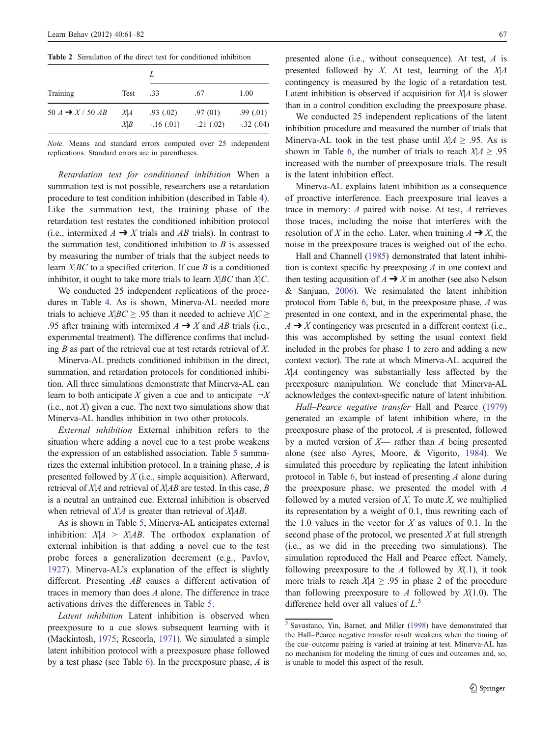<span id="page-6-0"></span>Table 2 Simulation of the direct test for conditioned inhibition

|                              |                      | L                        |                         |                             |  |  |
|------------------------------|----------------------|--------------------------|-------------------------|-----------------------------|--|--|
| Training                     | Test                 | .33                      | .67                     | 1.00                        |  |  |
| $50 A \rightarrow X / 50 AB$ | $X\!I$<br>$X \cup B$ | .93(0.02)<br>$-.16(.01)$ | .97(01)<br>$-.21$ (.02) | .99(0.01)<br>$-.32$ $(.04)$ |  |  |

Note. Means and standard errors computed over 25 independent replications. Standard errors are in parentheses.

Retardation test for conditioned inhibition When a summation test is not possible, researchers use a retardation procedure to test condition inhibition (described in Table [4](#page-7-0)). Like the summation test, the training phase of the retardation test restates the conditioned inhibition protocol (i.e., intermixed  $A \rightarrow X$  trials and AB trials). In contrast to the summation test, conditioned inhibition to  $B$  is assessed by measuring the number of trials that the subject needs to learn  $X|BC$  to a specified criterion. If cue B is a conditioned inhibitor, it ought to take more trials to learn  $X|BC$  than  $X|C$ .

We conducted 25 independent replications of the procedures in Table [4.](#page-7-0) As is shown, Minerva-AL needed more trials to achieve  $X|BC \ge 0.95$  than it needed to achieve  $X|C \ge 0.95$ .95 after training with intermixed  $A \rightarrow X$  and AB trials (i.e., experimental treatment). The difference confirms that including  $B$  as part of the retrieval cue at test retards retrieval of  $X$ .

Minerva-AL predicts conditioned inhibition in the direct, summation, and retardation protocols for conditioned inhibition. All three simulations demonstrate that Minerva-AL can learn to both anticipate X given a cue and to anticipate  $\neg X$ (i.e., not  $X$ ) given a cue. The next two simulations show that Minerva-AL handles inhibition in two other protocols.

External inhibition External inhibition refers to the situation where adding a novel cue to a test probe weakens the expression of an established association. Table [5](#page-8-0) summarizes the external inhibition protocol. In a training phase, A is presented followed by  $X$  (i.e., simple acquisition). Afterward, retrieval of  $X|A$  and retrieval of  $X|AB$  are tested. In this case, B is a neutral an untrained cue. External inhibition is observed when retrieval of  $X|A$  is greater than retrieval of  $X|AB$ .

As is shown in Table [5](#page-8-0), Minerva-AL anticipates external inhibition:  $X|A > X|AB$ . The orthodox explanation of external inhibition is that adding a novel cue to the test probe forces a generalization decrement (e.g., Pavlov, [1927\)](#page-20-0). Minerva-AL's explanation of the effect is slightly different. Presenting AB causes a different activation of traces in memory than does A alone. The difference in trace activations drives the differences in Table [5.](#page-8-0)

Latent inhibition Latent inhibition is observed when preexposure to a cue slows subsequent learning with it (Mackintosh, [1975;](#page-20-0) Rescorla, [1971\)](#page-21-0). We simulated a simple latent inhibition protocol with a preexposure phase followed by a test phase (see Table [6\)](#page-8-0). In the preexposure phase, A is

presented alone (i.e., without consequence). At test, A is presented followed by  $X$ . At test, learning of the  $X|A$ contingency is measured by the logic of a retardation test. Latent inhibition is observed if acquisition for  $X|A$  is slower than in a control condition excluding the preexposure phase.

We conducted 25 independent replications of the latent inhibition procedure and measured the number of trials that Minerva-AL took in the test phase until  $X|A \geq .95$ . As is shown in Table [6,](#page-8-0) the number of trials to reach  $X|A \geq .95$ increased with the number of preexposure trials. The result is the latent inhibition effect.

Minerva-AL explains latent inhibition as a consequence of proactive interference. Each preexposure trial leaves a trace in memory: A paired with noise. At test, A retrieves those traces, including the noise that interferes with the resolution of X in the echo. Later, when training  $A \rightarrow X$ , the noise in the preexposure traces is weighed out of the echo.

Hall and Channell [\(1985](#page-19-0)) demonstrated that latent inhibition is context specific by preexposing A in one context and then testing acquisition of  $A \rightarrow X$  in another (see also Nelson & Sanjuan, [2006](#page-20-0)). We resimulated the latent inhibition protocol from Table [6,](#page-8-0) but, in the preexposure phase, A was presented in one context, and in the experimental phase, the  $A \rightarrow X$  contingency was presented in a different context (i.e., this was accomplished by setting the usual context field included in the probes for phase 1 to zero and adding a new context vector). The rate at which Minerva-AL acquired the  $X|A$  contingency was substantially less affected by the preexposure manipulation. We conclude that Minerva-AL acknowledges the context-specific nature of latent inhibition.

Hall–Pearce negative transfer Hall and Pearce [\(1979](#page-19-0)) generated an example of latent inhibition where, in the preexposure phase of the protocol, A is presented, followed by a muted version of  $X$ — rather than A being presented alone (see also Ayres, Moore, & Vigorito, [1984](#page-19-0)). We simulated this procedure by replicating the latent inhibition protocol in Table [6,](#page-8-0) but instead of presenting A alone during the preexposure phase, we presented the model with A followed by a muted version of  $X$ . To mute  $X$ , we multiplied its representation by a weight of 0.1, thus rewriting each of the 1.0 values in the vector for  $X$  as values of 0.1. In the second phase of the protocol, we presented  $X$  at full strength (i.e., as we did in the preceding two simulations). The simulation reproduced the Hall and Pearce effect. Namely, following preexposure to the A followed by  $X(0,1)$ , it took more trials to reach  $X|A \geq .95$  in phase 2 of the procedure than following preexposure to A followed by  $X(1.0)$ . The difference held over all values of  $L^3$ .

<sup>&</sup>lt;sup>3</sup> Savastano, Yin, Barnet, and Miller [\(1998](#page-21-0)) have demonstrated that the Hall–Pearce negative transfer result weakens when the timing of the cue–outcome pairing is varied at training at test. Minerva-AL has no mechanism for modeling the timing of cues and outcomes and, so, is unable to model this aspect of the result.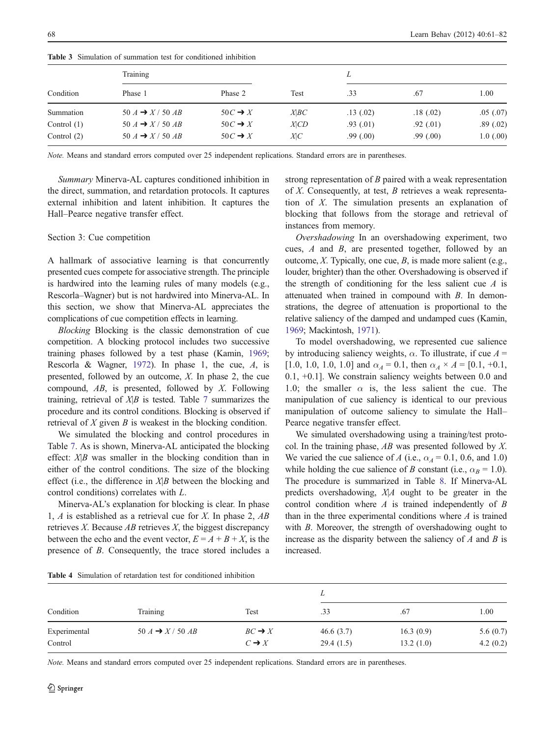|               | Training                     |                     |            | L         |           |           |
|---------------|------------------------------|---------------------|------------|-----------|-----------|-----------|
| Condition     | Phase 1                      | Phase 2             | Test       | .33       | .67       | 1.00      |
| Summation     | $50 A \rightarrow X / 50 AB$ | $50C \rightarrow X$ | X BC       | .13(02)   | .18(.02)  | .05(0.07) |
| Control $(1)$ | $50 A \rightarrow X / 50 AB$ | $50C \rightarrow X$ | X CD       | .93(01)   | .92(0.01) | .89(.02)  |
| Control $(2)$ | $50 A \rightarrow X / 50 AB$ | $50C \rightarrow X$ | $X \mid C$ | .99(0.00) | .99(0.00) | 1.0(0.00) |

<span id="page-7-0"></span>Table 3 Simulation of summation test for conditioned inhibition

Note. Means and standard errors computed over 25 independent replications. Standard errors are in parentheses.

Summary Minerva-AL captures conditioned inhibition in the direct, summation, and retardation protocols. It captures external inhibition and latent inhibition. It captures the Hall–Pearce negative transfer effect.

#### Section 3: Cue competition

A hallmark of associative learning is that concurrently presented cues compete for associative strength. The principle is hardwired into the learning rules of many models (e.g., Rescorla–Wagner) but is not hardwired into Minerva-AL. In this section, we show that Minerva-AL appreciates the complications of cue competition effects in learning.

Blocking Blocking is the classic demonstration of cue competition. A blocking protocol includes two successive training phases followed by a test phase (Kamin, [1969](#page-20-0); Rescorla & Wagner, [1972\)](#page-21-0). In phase 1, the cue,  $A$ , is presented, followed by an outcome,  $X$ . In phase 2, the cue compound, AB, is presented, followed by X. Following training, retrieval of  $X|B$  is tested. Table [7](#page-9-0) summarizes the procedure and its control conditions. Blocking is observed if retrieval of X given B is weakest in the blocking condition.

We simulated the blocking and control procedures in Table [7.](#page-9-0) As is shown, Minerva-AL anticipated the blocking effect:  $X|B$  was smaller in the blocking condition than in either of the control conditions. The size of the blocking effect (i.e., the difference in  $X|B$  between the blocking and control conditions) correlates with L.

Minerva-AL's explanation for blocking is clear. In phase 1,  $\Lambda$  is established as a retrieval cue for  $X$ . In phase 2,  $AB$ retrieves X. Because  $AB$  retrieves X, the biggest discrepancy between the echo and the event vector,  $E = A + B + X$ , is the presence of B. Consequently, the trace stored includes a

strong representation of B paired with a weak representation of X. Consequently, at test, B retrieves a weak representation of X. The simulation presents an explanation of blocking that follows from the storage and retrieval of instances from memory.

Overshadowing In an overshadowing experiment, two cues, A and B, are presented together, followed by an outcome, X. Typically, one cue, B, is made more salient (e.g., strations, the degree of attenuation is proportional to the relative saliency of the damped and undamped cues (Kamin, [1969;](#page-20-0) Mackintosh, [1971\)](#page-20-0). louder, brighter) than the other. Overshadowing is observed if the strength of conditioning for the less salient cue  $A$  is attenuated when trained in compound with B. In demon-

To model overshadowing, we represented cue salience by introducing saliency weights,  $\alpha$ . To illustrate, if cue  $A =$ [1.0, 1.0, 1.0, 1.0] and  $\alpha_A = 0.1$ , then  $\alpha_A \times A = [0.1, +0.1,$ 0.1, +0.1]. We constrain saliency weights between 0.0 and 1.0; the smaller  $\alpha$  is, the less salient the cue. The manipulation of cue saliency is identical to our previous manipulation of outcome saliency to simulate the Hall– Pearce negative transfer effect.

We simulated overshadowing using a training/test protocol. In the training phase, AB was presented followed by X. We varied the cue salience of A (i.e.,  $\alpha_A = 0.1, 0.6,$  and 1.0) while holding the cue salience of B constant (i.e.,  $\alpha_B = 1.0$ ). The procedure is summarized in Table [8.](#page-9-0) If Minerva-AL predicts overshadowing, X|A ought to be greater in the control condition where  $A$  is trained independently of  $B$ than in the three experimental conditions where  $A$  is trained with *B*. Moreover, the strength of overshadowing ought to increase as the disparity between the saliency of  $A$  and  $B$  is increased.

Table 4 Simulation of retardation test for conditioned inhibition

|              |                              |                    | ⊥         |           |          |
|--------------|------------------------------|--------------------|-----------|-----------|----------|
| Condition    | Training                     | Test               | .33       | .67       | 1.00     |
| Experimental | $50 A \rightarrow X / 50 AB$ | $BC \rightarrow X$ | 46.6(3.7) | 16.3(0.9) | 5.6(0.7) |
| Control      |                              | $C \rightarrow X$  | 29.4(1.5) | 13.2(1.0) | 4.2(0.2) |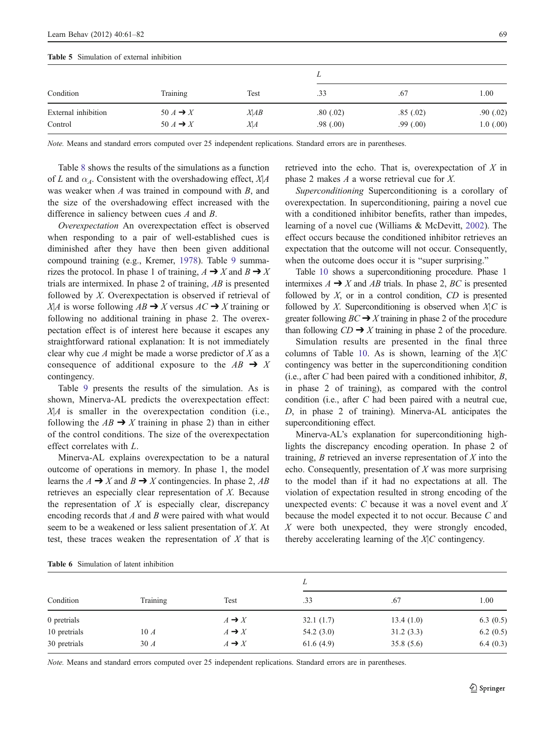# <span id="page-8-0"></span>Table 5 Simulation of external inhibition

|                                |                                              | Test                      | L                     |                       |                        |
|--------------------------------|----------------------------------------------|---------------------------|-----------------------|-----------------------|------------------------|
| Condition                      | Training                                     |                           | .33                   | .67                   | 0.1                    |
| External inhibition<br>Control | 50 $A \rightarrow X$<br>50 $A \rightarrow X$ | X AB<br>$X\!\!\mid\!\! A$ | .80(.02)<br>.98(0.00) | .85(.02)<br>.99(0.00) | .90(0.02)<br>1.0(0.00) |

Note. Means and standard errors computed over 25 independent replications. Standard errors are in parentheses.

Table [8](#page-9-0) shows the results of the simulations as a function of L and  $\alpha_A$ . Consistent with the overshadowing effect, X|A was weaker when A was trained in compound with B, and the size of the overshadowing effect increased with the difference in saliency between cues A and B.

Overexpectation An overexpectation effect is observed when responding to a pair of well-established cues is diminished after they have then been given additional compound training (e.g., Kremer, [1978](#page-20-0)). Table [9](#page-10-0) summarizes the protocol. In phase 1 of training,  $A \rightarrow X$  and  $B \rightarrow X$ trials are intermixed. In phase 2 of training, AB is presented followed by X. Overexpectation is observed if retrieval of  $X|A$  is worse following  $AB \rightarrow X$  versus  $AC \rightarrow X$  training or following no additional training in phase 2. The overexpectation effect is of interest here because it escapes any straightforward rational explanation: It is not immediately clear why cue A might be made a worse predictor of X as a consequence of additional exposure to the  $AB \rightarrow X$ contingency.

Table [9](#page-10-0) presents the results of the simulation. As is shown, Minerva-AL predicts the overexpectation effect:  $X|A$  is smaller in the overexpectation condition (i.e., following the  $AB \rightarrow X$  training in phase 2) than in either of the control conditions. The size of the overexpectation effect correlates with L.

Minerva-AL explains overexpectation to be a natural outcome of operations in memory. In phase 1, the model learns the  $A \rightarrow X$  and  $B \rightarrow X$  contingencies. In phase 2, AB retrieves an especially clear representation of X. Because the representation of  $X$  is especially clear, discrepancy encoding records that A and B were paired with what would seem to be a weakened or less salient presentation of X. At test, these traces weaken the representation of  $X$  that is

retrieved into the echo. That is, overexpectation of  $X$  in phase 2 makes A a worse retrieval cue for X.

Superconditioning Superconditioning is a corollary of overexpectation. In superconditioning, pairing a novel cue with a conditioned inhibitor benefits, rather than impedes, learning of a novel cue (Williams & McDevitt, [2002\)](#page-21-0). The effect occurs because the conditioned inhibitor retrieves an expectation that the outcome will not occur. Consequently, when the outcome does occur it is "super surprising."

Table [10](#page-10-0) shows a superconditioning procedure. Phase 1 intermixes  $A \rightarrow X$  and  $AB$  trials. In phase 2, BC is presented followed by  $X$ , or in a control condition,  $CD$  is presented followed by X. Superconditioning is observed when  $X|C$  is greater following  $BC \rightarrow X$  training in phase 2 of the procedure than following  $CD \rightarrow X$  training in phase 2 of the procedure.

Simulation results are presented in the final three columns of Table [10](#page-10-0). As is shown, learning of the  $X|C$ contingency was better in the superconditioning condition (i.e., after  $C$  had been paired with a conditioned inhibitor,  $B$ , in phase 2 of training), as compared with the control condition (i.e., after C had been paired with a neutral cue, D, in phase 2 of training). Minerva-AL anticipates the superconditioning effect.

Minerva-AL's explanation for superconditioning highlights the discrepancy encoding operation. In phase 2 of training,  $B$  retrieved an inverse representation of  $X$  into the echo. Consequently, presentation of  $X$  was more surprising to the model than if it had no expectations at all. The violation of expectation resulted in strong encoding of the unexpected events: C because it was a novel event and X because the model expected it to not occur. Because C and X were both unexpected, they were strongly encoded, thereby accelerating learning of the  $X|C$  contingency.

| <b>Table 6</b> Simulation of latent inhibition |  |
|------------------------------------------------|--|
|------------------------------------------------|--|

| Condition    |          |                   |           |           |          |
|--------------|----------|-------------------|-----------|-----------|----------|
|              | Training | Test              | .33       | .67       | 1.00     |
| 0 pretrials  |          | $A \rightarrow X$ | 32.1(1.7) | 13.4(1.0) | 6.3(0.5) |
| 10 pretrials | 10A      | $A \rightarrow X$ | 54.2(3.0) | 31.2(3.3) | 6.2(0.5) |
| 30 pretrials | 30A      | $A \rightarrow X$ | 61.6(4.9) | 35.8(5.6) | 6.4(0.3) |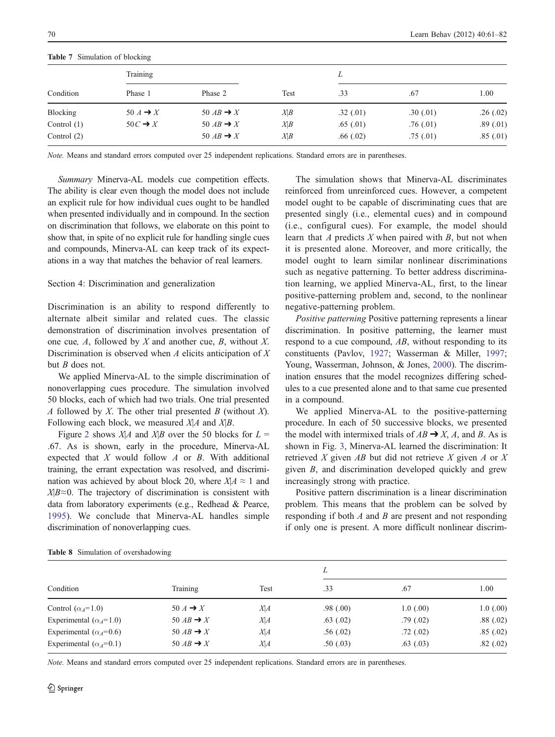|               | Training             |                       |      | L         |           |          |
|---------------|----------------------|-----------------------|------|-----------|-----------|----------|
| Condition     | Phase 1              | Phase 2               | Test | .33       | .67       | 00.1     |
| Blocking      | 50 $A \rightarrow X$ | 50 $AB \rightarrow X$ | X B  | .32(.01)  | .30(.01)  | .26(.02) |
| Control $(1)$ | $50C \rightarrow X$  | 50 $AB \rightarrow X$ | X B  | .65(0.01) | .76(01)   | .89(.01) |
| Control $(2)$ |                      | 50 $AB \rightarrow X$ | X B  | .66(.02)  | .75(0.01) | .85(.01) |

<span id="page-9-0"></span>Table 7 Simulation of blocking

Note. Means and standard errors computed over 25 independent replications. Standard errors are in parentheses.

Summary Minerva-AL models cue competition effects. The ability is clear even though the model does not include an explicit rule for how individual cues ought to be handled when presented individually and in compound. In the section on discrimination that follows, we elaborate on this point to show that, in spite of no explicit rule for handling single cues and compounds, Minerva-AL can keep track of its expectations in a way that matches the behavior of real learners.

# Section 4: Discrimination and generalization

Discrimination is an ability to respond differently to alternate albeit similar and related cues. The classic demonstration of discrimination involves presentation of one cue, A, followed by X and another cue, B, without X. Discrimination is observed when A elicits anticipation of  $X$ but B does not.

We applied Minerva-AL to the simple discrimination of nonoverlapping cues procedure. The simulation involved 50 blocks, each of which had two trials. One trial presented A followed by X. The other trial presented  $B$  (without  $X$ ). Following each block, we measured  $X|A$  and  $X|B$ .

Figure [2](#page-11-0) shows  $X|A$  and  $X|B$  over the 50 blocks for  $L =$ .67. As is shown, early in the procedure, Minerva-AL expected that  $X$  would follow  $A$  or  $B$ . With additional training, the errant expectation was resolved, and discrimination was achieved by about block 20, where  $X|A \approx 1$  and  $X|B \approx 0$ . The trajectory of discrimination is consistent with data from laboratory experiments (e.g., Redhead & Pearce, [1995](#page-20-0)). We conclude that Minerva-AL handles simple discrimination of nonoverlapping cues.

The simulation shows that Minerva-AL discriminates reinforced from unreinforced cues. However, a competent model ought to be capable of discriminating cues that are presented singly (i.e., elemental cues) and in compound (i.e., configural cues). For example, the model should learn that  $A$  predicts  $X$  when paired with  $B$ , but not when it is presented alone. Moreover, and more critically, the model ought to learn similar nonlinear discriminations such as negative patterning. To better address discrimination learning, we applied Minerva-AL, first, to the linear positive-patterning problem and, second, to the nonlinear negative-patterning problem.

Positive patterning Positive patterning represents a linear discrimination. In positive patterning, the learner must respond to a cue compound, AB, without responding to its constituents (Pavlov, [1927](#page-20-0); Wasserman & Miller, [1997;](#page-21-0) Young, Wasserman, Johnson, & Jones, [2000\)](#page-21-0). The discrimination ensures that the model recognizes differing schedules to a cue presented alone and to that same cue presented in a compound.

We applied Minerva-AL to the positive-patterning procedure. In each of 50 successive blocks, we presented the model with intermixed trials of  $AB \rightarrow X$ , A, and B. As is shown in Fig. [3,](#page-11-0) Minerva-AL learned the discrimination: It retrieved  $X$  given  $AB$  but did not retrieve  $X$  given  $A$  or  $X$ given B, and discrimination developed quickly and grew increasingly strong with practice.

Positive pattern discrimination is a linear discrimination problem. This means that the problem can be solved by responding if both  $A$  and  $B$  are present and not responding if only one is present. A more difficult nonlinear discrim-

|                                 |                       |                   | L         |           |           |
|---------------------------------|-----------------------|-------------------|-----------|-----------|-----------|
| Condition                       | Training              | Test              | .33       | .67       | 1.00      |
| Control $(\alpha_4=1.0)$        | $50 A \rightarrow X$  | $X\!\!\mid\!\! A$ | .98(0.00) | 1.0(0.00) | 1.0(0.00) |
| Experimental ( $\alpha_A$ =1.0) | 50 $AB \rightarrow X$ | $X\!\!\mid\!\! A$ | .63(02)   | .79(0.02) | .88(.02)  |
| Experimental ( $\alpha_A$ =0.6) | 50 $AB \rightarrow X$ | $X\!\!\mid\!\! A$ | .56(.02)  | .72(0.02) | .85(.02)  |
| Experimental ( $\alpha_4$ =0.1) | 50 $AB \rightarrow X$ | X A               | .50(.03)  | .63(0.03) | .82(.02)  |

Table 8 Simulation of overshadowing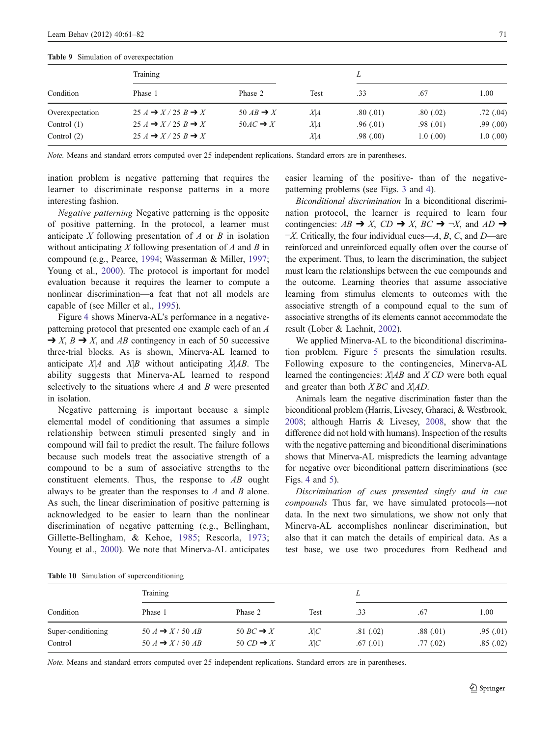<span id="page-10-0"></span>

| Condition       | Training                                  |                       |                           |           |           |           |  |  |
|-----------------|-------------------------------------------|-----------------------|---------------------------|-----------|-----------|-----------|--|--|
|                 | Phase 1                                   | Phase 2               | Test                      | .33       | .67       | 1.00      |  |  |
| Overexpectation | 25 $A \rightarrow X/25$ $B \rightarrow X$ | 50 $AB \rightarrow X$ | $X\!\!\restriction\!\! A$ | .80(0.01) | .80(.02)  | .72(0.04) |  |  |
| Control $(1)$   | 25 $A \rightarrow X/25$ $B \rightarrow X$ | $50AC \rightarrow X$  | $X\!\!\mid\!\! A$         | .96(0.01) | .98(0.01) | .99(0.00) |  |  |
| Control $(2)$   | 25 $A \rightarrow X/25$ $B \rightarrow X$ |                       | $X\!\!\mid\!\! A$         | .98(0.00) | 1.0(0.00) | 1.0(0.00) |  |  |

Note. Means and standard errors computed over 25 independent replications. Standard errors are in parentheses.

ination problem is negative patterning that requires the learner to discriminate response patterns in a more interesting fashion.

Negative patterning Negative patterning is the opposite of positive patterning. In the protocol, a learner must anticipate X following presentation of  $A$  or  $B$  in isolation without anticipating X following presentation of A and B in compound (e.g., Pearce, [1994](#page-20-0); Wasserman & Miller, [1997](#page-21-0); Young et al., [2000\)](#page-21-0). The protocol is important for model evaluation because it requires the learner to compute a nonlinear discrimination—a feat that not all models are capable of (see Miller et al., [1995\)](#page-20-0).

Figure [4](#page-11-0) shows Minerva-AL's performance in a negativepatterning protocol that presented one example each of an A  $\rightarrow$  X, B  $\rightarrow$  X, and AB contingency in each of 50 successive three-trial blocks. As is shown, Minerva-AL learned to anticipate  $X|A$  and  $X|B$  without anticipating  $X|AB$ . The ability suggests that Minerva-AL learned to respond selectively to the situations where  $A$  and  $B$  were presented in isolation.

Negative patterning is important because a simple elemental model of conditioning that assumes a simple relationship between stimuli presented singly and in compound will fail to predict the result. The failure follows because such models treat the associative strength of a compound to be a sum of associative strengths to the constituent elements. Thus, the response to AB ought always to be greater than the responses to  $A$  and  $B$  alone. As such, the linear discrimination of positive patterning is acknowledged to be easier to learn than the nonlinear discrimination of negative patterning (e.g., Bellingham, Gillette-Bellingham, & Kehoe, [1985;](#page-19-0) Rescorla, [1973](#page-21-0); Young et al., [2000\)](#page-21-0). We note that Minerva-AL anticipates

easier learning of the positive- than of the negativepatterning problems (see Figs. [3](#page-11-0) and [4](#page-11-0)).

Biconditional discrimination In a biconditional discrimination protocol, the learner is required to learn four contingencies:  $AB \rightarrow X$ ,  $CD \rightarrow X$ ,  $BC \rightarrow \neg X$ , and  $AD \rightarrow$  $\neg X$ . Critically, the four individual cues—A, B, C, and D—are reinforced and unreinforced equally often over the course of the experiment. Thus, to learn the discrimination, the subject must learn the relationships between the cue compounds and the outcome. Learning theories that assume associative learning from stimulus elements to outcomes with the associative strength of a compound equal to the sum of associative strengths of its elements cannot accommodate the result (Lober & Lachnit, [2002\)](#page-20-0).

We applied Minerva-AL to the biconditional discrimination problem. Figure [5](#page-11-0) presents the simulation results. Following exposure to the contingencies, Minerva-AL learned the contingencies:  $X|AB$  and  $X|CD$  were both equal and greater than both  $X|BC$  and  $X|AD$ .

Animals learn the negative discrimination faster than the biconditional problem (Harris, Livesey, Gharaei, & Westbrook, [2008;](#page-19-0) although Harris & Livesey, [2008](#page-19-0), show that the difference did not hold with humans). Inspection of the results with the negative patterning and biconditional discriminations shows that Minerva-AL mispredicts the learning advantage for negative over biconditional pattern discriminations (see Figs. [4](#page-11-0) and [5](#page-11-0)).

Discrimination of cues presented singly and in cue compounds Thus far, we have simulated protocols—not data. In the next two simulations, we show not only that Minerva-AL accomplishes nonlinear discrimination, but also that it can match the details of empirical data. As a test base, we use two procedures from Redhead and

|  |  | Table 10 Simulation of superconditioning |  |
|--|--|------------------------------------------|--|
|--|--|------------------------------------------|--|

|                    | <b>TWORE TO</b> DIMENSION OF Superconditioning |                       |               |           |          |           |  |  |  |  |  |
|--------------------|------------------------------------------------|-----------------------|---------------|-----------|----------|-----------|--|--|--|--|--|
|                    | Training                                       |                       |               |           |          |           |  |  |  |  |  |
| Condition          | Phase 1                                        | Phase 2               | Test          | .33       | .67      | 00.1      |  |  |  |  |  |
| Super-conditioning | $50 A \rightarrow X / 50 AB$                   | 50 BC $\rightarrow X$ | $X \subset C$ | .81(0.02) | .88(.01) | .95(0.01) |  |  |  |  |  |
| Control            | $50 A \rightarrow X / 50 AB$                   | 50 CD $\rightarrow X$ | $X \subset C$ | .67(01)   | .77(02)  | .85(.02)  |  |  |  |  |  |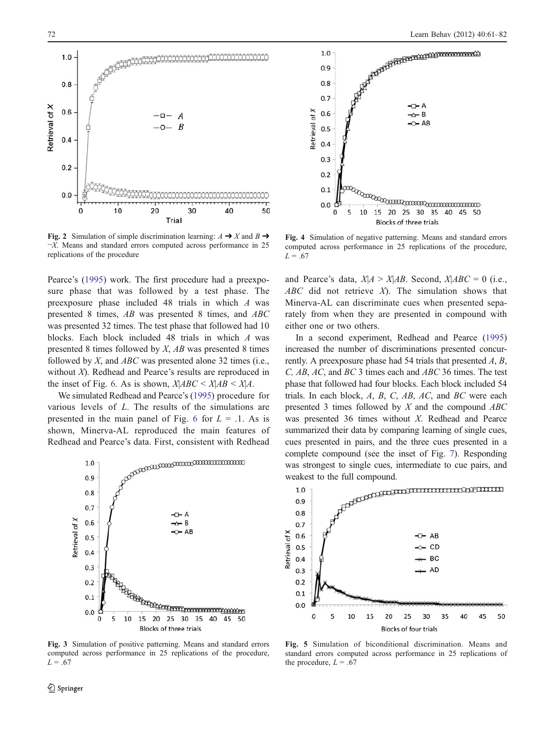<span id="page-11-0"></span>

Fig. 2 Simulation of simple discrimination learning:  $A \rightarrow X$  and  $B \rightarrow$  $\neg X$ . Means and standard errors computed across performance in 25 replications of the procedure

Pearce's ([1995\)](#page-20-0) work. The first procedure had a preexposure phase that was followed by a test phase. The preexposure phase included 48 trials in which A was presented 8 times, AB was presented 8 times, and ABC was presented 32 times. The test phase that followed had 10 blocks. Each block included 48 trials in which A was presented 8 times followed by  $X$ ,  $AB$  was presented 8 times followed by  $X$ , and  $ABC$  was presented alone 32 times (i.e., without *X*). Redhead and Pearce's results are reproduced in the inset of Fig. [6.](#page-12-0) As is shown,  $X|ABC \le X|AB \le X|A$ .

We simulated Redhead and Pearce's [\(1995\)](#page-20-0) procedure for various levels of L. The results of the simulations are presented in the main panel of Fig. [6](#page-12-0) for  $L = .1$ . As is shown, Minerva-AL reproduced the main features of Redhead and Pearce's data. First, consistent with Redhead



Fig. 3 Simulation of positive patterning. Means and standard errors computed across performance in 25 replications of the procedure,  $L = .67$ 



Fig. 4 Simulation of negative patterning. Means and standard errors computed across performance in 25 replications of the procedure,  $L = .67$ 

and Pearce's data,  $X|A > X|AB$ . Second,  $X|ABC = 0$  (i.e.,  $ABC$  did not retrieve  $X$ ). The simulation shows that Minerva-AL can discriminate cues when presented separately from when they are presented in compound with either one or two others.

In a second experiment, Redhead and Pearce [\(1995](#page-20-0)) increased the number of discriminations presented concurrently. A preexposure phase had 54 trials that presented  $A$ ,  $B$ , C, AB, AC, and BC 3 times each and ABC 36 times. The test phase that followed had four blocks. Each block included 54 trials. In each block,  $A$ ,  $B$ ,  $C$ ,  $AB$ ,  $AC$ , and  $BC$  were each presented 3 times followed by  $X$  and the compound  $ABC$ was presented 36 times without X. Redhead and Pearce summarized their data by comparing learning of single cues, cues presented in pairs, and the three cues presented in a complete compound (see the inset of Fig. [7\)](#page-12-0). Responding was strongest to single cues, intermediate to cue pairs, and



Fig. 5 Simulation of biconditional discrimination. Means and standard errors computed across performance in 25 replications of the procedure,  $L = .67$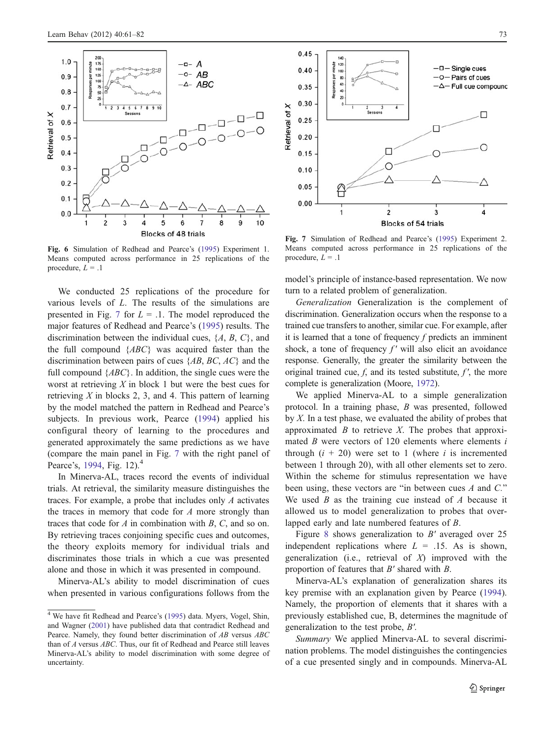<span id="page-12-0"></span>

Fig. 6 Simulation of Redhead and Pearce's ([1995\)](#page-20-0) Experiment 1. Means computed across performance in 25 replications of the procedure,  $L = .1$ 

We conducted 25 replications of the procedure for various levels of L. The results of the simulations are presented in Fig. 7 for  $L = .1$ . The model reproduced the major features of Redhead and Pearce's [\(1995](#page-20-0)) results. The discrimination between the individual cues,  $\{A, B, C\}$ , and the full compound  ${ABC}$  was acquired faster than the discrimination between pairs of cues  $\{AB, BC, AC\}$  and the full compound  ${ABC}$ . In addition, the single cues were the worst at retrieving  $X$  in block 1 but were the best cues for retrieving  $X$  in blocks 2, 3, and 4. This pattern of learning by the model matched the pattern in Redhead and Pearce's subjects. In previous work, Pearce [\(1994](#page-20-0)) applied his configural theory of learning to the procedures and generated approximately the same predictions as we have (compare the main panel in Fig. 7 with the right panel of Pearce's, [1994,](#page-20-0) Fig. 12).<sup>4</sup>

In Minerva-AL, traces record the events of individual trials. At retrieval, the similarity measure distinguishes the traces. For example, a probe that includes only A activates the traces in memory that code for  $A$  more strongly than traces that code for A in combination with B, C, and so on. By retrieving traces conjoining specific cues and outcomes, the theory exploits memory for individual trials and discriminates those trials in which a cue was presented alone and those in which it was presented in compound.

Minerva-AL's ability to model discrimination of cues when presented in various configurations follows from the



Fig. 7 Simulation of Redhead and Pearce's ([1995\)](#page-20-0) Experiment 2. Means computed across performance in 25 replications of the procedure,  $L = .1$ 

model's principle of instance-based representation. We now turn to a related problem of generalization.

Generalization Generalization is the complement of discrimination. Generalization occurs when the response to a trained cue transfers to another, similar cue. For example, after it is learned that a tone of frequency  $f$  predicts an imminent shock, a tone of frequency  $f'$  will also elicit an avoidance response. Generally, the greater the similarity between the original trained cue,  $f$ , and its tested substitute,  $f'$ , the more complete is generalization (Moore, [1972](#page-20-0)).

We applied Minerva-AL to a simple generalization protocol. In a training phase, B was presented, followed by  $X$ . In a test phase, we evaluated the ability of probes that approximated  $\hat{B}$  to retrieve  $\hat{X}$ . The probes that approximated  $B$  were vectors of 120 elements where elements  $i$ through  $(i + 20)$  were set to 1 (where i is incremented between 1 through 20), with all other elements set to zero. Within the scheme for stimulus representation we have been using, these vectors are "in between cues A and C." We used  $B$  as the training cue instead of  $A$  because it allowed us to model generalization to probes that overlapped early and late numbered features of B.

Figure [8](#page-13-0) shows generalization to  $B'$  averaged over 25 independent replications where  $L = .15$ . As is shown, generalization (i.e., retrieval of  $X$ ) improved with the proportion of features that B' shared with B.

Minerva-AL's explanation of generalization shares its key premise with an explanation given by Pearce ([1994\)](#page-20-0). Namely, the proportion of elements that it shares with a previously established cue, B, determines the magnitude of generalization to the test probe, B'.

Summary We applied Minerva-AL to several discrimination problems. The model distinguishes the contingencies of a cue presented singly and in compounds. Minerva-AL

<sup>&</sup>lt;sup>4</sup> We have fit Redhead and Pearce's ([1995](#page-20-0)) data. Myers, Vogel, Shin, and Wagner ([2001\)](#page-20-0) have published data that contradict Redhead and Pearce. Namely, they found better discrimination of AB versus ABC than of A versus ABC. Thus, our fit of Redhead and Pearce still leaves Minerva-AL's ability to model discrimination with some degree of uncertainty.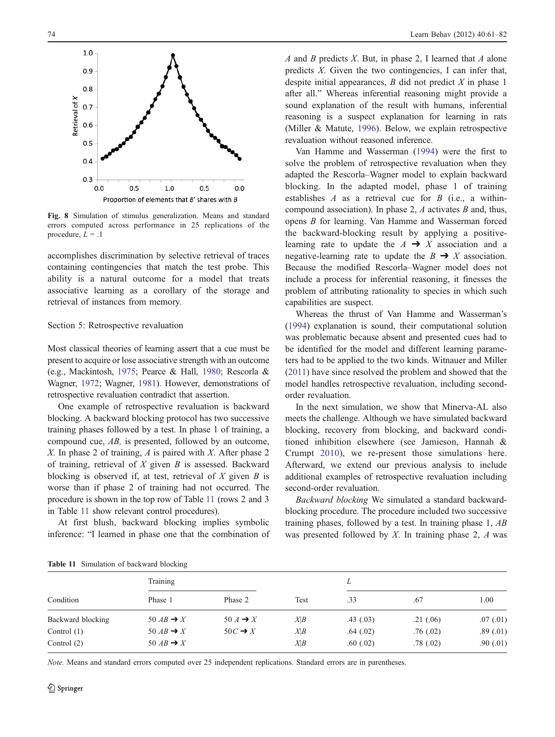<span id="page-13-0"></span>

Fig. 8 Simulation of stimulus generalization. Means and standard errors computed across performance in 25 replications of the procedure,  $L = .1$ 

accomplishes discrimination by selective retrieval of traces containing contingencies that match the test probe. This ability is a natural outcome for a model that treats associative learning as a corollary of the storage and retrieval of instances from memory.

# Section 5: Retrospective revaluation

Most classical theories of learning assert that a cue must be present to acquire or lose associative strength with an outcome (e.g., Mackintosh, [1975](#page-20-0); Pearce & Hall, [1980;](#page-20-0) Rescorla & Wagner, [1972](#page-21-0); Wagner, [1981\)](#page-21-0). However, demonstrations of retrospective revaluation contradict that assertion.

One example of retrospective revaluation is backward blocking. A backward blocking protocol has two successive training phases followed by a test. In phase 1 of training, a compound cue, AB, is presented, followed by an outcome, X. In phase 2 of training,  $\Lambda$  is paired with X. After phase 2 of training, retrieval of  $X$  given  $B$  is assessed. Backward blocking is observed if, at test, retrieval of  $X$  given  $B$  is worse than if phase 2 of training had not occurred. The procedure is shown in the top row of Table 11 (rows 2 and 3 in Table 11 show relevant control procedures).

At first blush, backward blocking implies symbolic inference: "I learned in phase one that the combination of A and B predicts X. But, in phase 2, I learned that A alone predicts X. Given the two contingencies, I can infer that, despite initial appearances,  $B$  did not predict  $X$  in phase 1 after all." Whereas inferential reasoning might provide a sound explanation of the result with humans, inferential reasoning is a suspect explanation for learning in rats (Miller & Matute, [1996\)](#page-20-0). Below, we explain retrospective revaluation without reasoned inference.

Van Hamme and Wasserman ([1994\)](#page-21-0) were the first to solve the problem of retrospective revaluation when they adapted the Rescorla–Wagner model to explain backward blocking. In the adapted model, phase 1 of training establishes  $A$  as a retrieval cue for  $B$  (i.e., a withincompound association). In phase 2,  $A$  activates  $B$  and, thus, opens B for learning. Van Hamme and Wasserman forced the backward-blocking result by applying a positivelearning rate to update the  $A \rightarrow X$  association and a negative-learning rate to update the  $B \rightarrow X$  association. Because the modified Rescorla–Wagner model does not include a process for inferential reasoning, it finesses the problem of attributing rationality to species in which such capabilities are suspect.

Whereas the thrust of Van Hamme and Wasserman's [\(1994](#page-21-0)) explanation is sound, their computational solution was problematic because absent and presented cues had to be identified for the model and different learning parameters had to be applied to the two kinds. Witnauer and Miller [\(2011\)](#page-21-0) have since resolved the problem and showed that the model handles retrospective revaluation, including secondorder revaluation.

In the next simulation, we show that Minerva-AL also meets the challenge. Although we have simulated backward blocking, recovery from blocking, and backward conditioned inhibition elsewhere (see Jamieson, Hannah & Crumpt [2010](#page-20-0)), we re-present those simulations here. Afterward, we extend our previous analysis to include additional examples of retrospective revaluation including second-order revaluation.

Backward blocking We simulated a standard backwardblocking procedure. The procedure included two successive training phases, followed by a test. In training phase 1, AB was presented followed by  $X$ . In training phase 2,  $A$  was

|                   | Training              |                      |            | L         |           |           |
|-------------------|-----------------------|----------------------|------------|-----------|-----------|-----------|
| Condition         | Phase 1               | Phase 2              | Test       | .33       | .67       | 0.01      |
| Backward blocking | 50 $AB \rightarrow X$ | $50 A \rightarrow X$ | X B        | .43(0.03) | .21(0.06) | .07(0.01) |
| Control $(1)$     | 50 $AB \rightarrow X$ | $50C \rightarrow X$  | $X \mid B$ | .64(.02)  | .76(.02)  | .89(.01)  |
| Control $(2)$     | 50 $AB \rightarrow X$ |                      | X B        | .60(.02)  | .78(.02)  | .90(0.01) |

Table 11 Simulation of backward blocking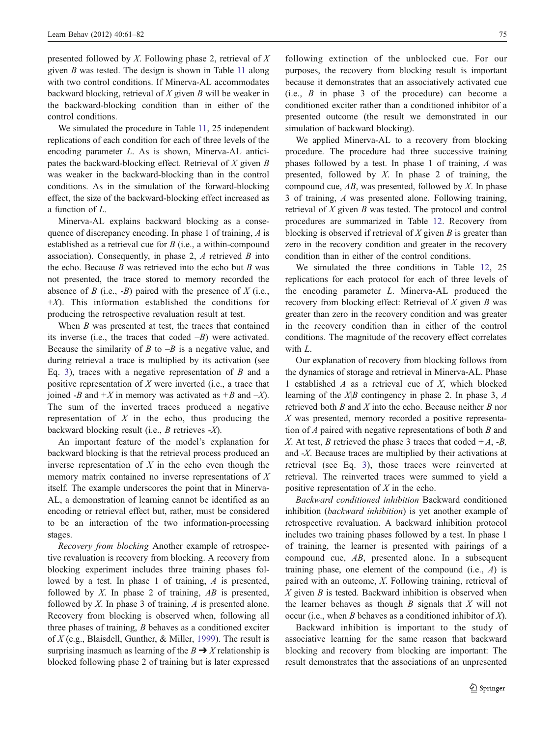presented followed by X. Following phase 2, retrieval of X given  $B$  was tested. The design is shown in Table [11](#page-13-0) along with two control conditions. If Minerva-AL accommodates backward blocking, retrieval of  $X$  given  $B$  will be weaker in the backward-blocking condition than in either of the control conditions.

We simulated the procedure in Table [11](#page-13-0), 25 independent replications of each condition for each of three levels of the encoding parameter L. As is shown, Minerva-AL anticipates the backward-blocking effect. Retrieval of  $X$  given  $B$ was weaker in the backward-blocking than in the control conditions. As in the simulation of the forward-blocking effect, the size of the backward-blocking effect increased as a function of L.

Minerva-AL explains backward blocking as a consequence of discrepancy encoding. In phase 1 of training, A is established as a retrieval cue for B (i.e., a within-compound association). Consequently, in phase  $2$ ,  $A$  retrieved  $B$  into the echo. Because  $B$  was retrieved into the echo but  $B$  was not presented, the trace stored to memory recorded the absence of B (i.e.,  $-B$ ) paired with the presence of X (i.e.,  $+X$ ). This information established the conditions for producing the retrospective revaluation result at test.

When *B* was presented at test, the traces that contained its inverse (i.e., the traces that coded  $-B$ ) were activated. Because the similarity of  $B$  to  $-B$  is a negative value, and during retrieval a trace is multiplied by its activation (see Eq. [3](#page-2-0)), traces with a negative representation of  $B$  and a positive representation of  $X$  were inverted (i.e., a trace that joined -B and  $+X$  in memory was activated as  $+B$  and  $-X$ ). The sum of the inverted traces produced a negative representation of  $X$  in the echo, thus producing the backward blocking result (i.e., B retrieves -X).

An important feature of the model's explanation for backward blocking is that the retrieval process produced an inverse representation of  $X$  in the echo even though the memory matrix contained no inverse representations of X itself. The example underscores the point that in Minerva-AL, a demonstration of learning cannot be identified as an encoding or retrieval effect but, rather, must be considered to be an interaction of the two information-processing stages.

Recovery from blocking Another example of retrospective revaluation is recovery from blocking. A recovery from blocking experiment includes three training phases followed by a test. In phase 1 of training, A is presented, followed by  $X$ . In phase 2 of training,  $AB$  is presented, followed by  $X$ . In phase 3 of training,  $A$  is presented alone. Recovery from blocking is observed when, following all three phases of training, B behaves as a conditioned exciter of  $X$  (e.g., Blaisdell, Gunther, & Miller, [1999](#page-19-0)). The result is surprising inasmuch as learning of the  $B \rightarrow X$  relationship is blocked following phase 2 of training but is later expressed

following extinction of the unblocked cue. For our purposes, the recovery from blocking result is important because it demonstrates that an associatively activated cue (i.e., B in phase 3 of the procedure) can become a conditioned exciter rather than a conditioned inhibitor of a presented outcome (the result we demonstrated in our simulation of backward blocking).

We applied Minerva-AL to a recovery from blocking procedure. The procedure had three successive training phases followed by a test. In phase 1 of training, A was presented, followed by  $X$ . In phase 2 of training, the compound cue,  $AB$ , was presented, followed by  $X$ . In phase 3 of training, A was presented alone. Following training, retrieval of  $X$  given  $B$  was tested. The protocol and control procedures are summarized in Table [12.](#page-15-0) Recovery from blocking is observed if retrieval of  $X$  given  $B$  is greater than zero in the recovery condition and greater in the recovery condition than in either of the control conditions.

We simulated the three conditions in Table [12](#page-15-0), 25 replications for each protocol for each of three levels of the encoding parameter L. Minerva-AL produced the recovery from blocking effect: Retrieval of  $X$  given  $B$  was greater than zero in the recovery condition and was greater in the recovery condition than in either of the control conditions. The magnitude of the recovery effect correlates with L.

Our explanation of recovery from blocking follows from the dynamics of storage and retrieval in Minerva-AL. Phase 1 established  $A$  as a retrieval cue of  $X$ , which blocked learning of the  $X|B$  contingency in phase 2. In phase 3, A retrieved both  $B$  and  $X$  into the echo. Because neither  $B$  nor  $X$  was presented, memory recorded a positive representation of A paired with negative representations of both B and X. At test, B retrieved the phase 3 traces that coded  $+A$ ,  $-B$ , and -X. Because traces are multiplied by their activations at retrieval (see Eq. [3\)](#page-2-0), those traces were reinverted at retrieval. The reinverted traces were summed to yield a positive representation of  $X$  in the echo.

Backward conditioned inhibition Backward conditioned inhibition (backward inhibition) is yet another example of retrospective revaluation. A backward inhibition protocol includes two training phases followed by a test. In phase 1 of training, the learner is presented with pairings of a compound cue, AB, presented alone. In a subsequent training phase, one element of the compound (i.e.,  $A$ ) is paired with an outcome, X. Following training, retrieval of  $X$  given  $B$  is tested. Backward inhibition is observed when the learner behaves as though  $B$  signals that  $X$  will not occur (i.e., when B behaves as a conditioned inhibitor of  $X$ ).

Backward inhibition is important to the study of associative learning for the same reason that backward blocking and recovery from blocking are important: The result demonstrates that the associations of an unpresented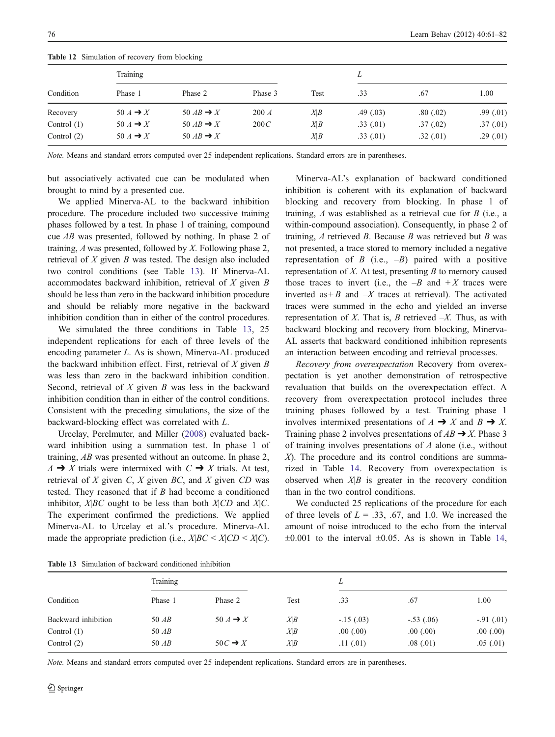| Condition     | Training             |                       |         |            |          |           |           |  |  |  |  |  |
|---------------|----------------------|-----------------------|---------|------------|----------|-----------|-----------|--|--|--|--|--|
|               | Phase 1              | Phase 2               | Phase 3 | Test       | .33      | .67       | 1.00      |  |  |  |  |  |
| Recovery      | $50 A \rightarrow X$ | 50 $AB \rightarrow X$ | 200 A   | X B        | .49(03)  | .80(0.02) | .99(0.01) |  |  |  |  |  |
| Control $(1)$ | 50 $A \rightarrow X$ | 50 $AB \rightarrow X$ | 200C    | $X \mid B$ | .33(.01) | .37(.02)  | .37(.01)  |  |  |  |  |  |
| Control $(2)$ | 50 $A \rightarrow X$ | 50 $AB \rightarrow X$ |         | $X \mid B$ | .33(.01) | .32(.01)  | .29(.01)  |  |  |  |  |  |

<span id="page-15-0"></span>Table 12 Simulation of recovery from blocking

Note. Means and standard errors computed over 25 independent replications. Standard errors are in parentheses.

but associatively activated cue can be modulated when brought to mind by a presented cue.

We applied Minerva-AL to the backward inhibition procedure. The procedure included two successive training phases followed by a test. In phase 1 of training, compound cue AB was presented, followed by nothing. In phase 2 of training,  $A$  was presented, followed by  $X$ . Following phase 2, retrieval of  $X$  given  $B$  was tested. The design also included two control conditions (see Table 13). If Minerva-AL accommodates backward inhibition, retrieval of X given B should be less than zero in the backward inhibition procedure and should be reliably more negative in the backward inhibition condition than in either of the control procedures.

We simulated the three conditions in Table 13, 25 independent replications for each of three levels of the encoding parameter L. As is shown, Minerva-AL produced the backward inhibition effect. First, retrieval of  $X$  given  $B$ was less than zero in the backward inhibition condition. Second, retrieval of  $X$  given  $B$  was less in the backward inhibition condition than in either of the control conditions. Consistent with the preceding simulations, the size of the backward-blocking effect was correlated with L.

Urcelay, Perelmuter, and Miller [\(2008](#page-21-0)) evaluated backward inhibition using a summation test. In phase 1 of training, AB was presented without an outcome. In phase 2,  $A \rightarrow X$  trials were intermixed with  $C \rightarrow X$  trials. At test, retrieval of  $X$  given  $C$ ,  $X$  given  $BC$ , and  $X$  given  $CD$  was tested. They reasoned that if  $B$  had become a conditioned inhibitor,  $X|BC$  ought to be less than both  $X|CD$  and  $X|C$ . The experiment confirmed the predictions. We applied Minerva-AL to Urcelay et al.'s procedure. Minerva-AL made the appropriate prediction (i.e.,  $X|BC \le X|CD \le X|C$ ).

Minerva-AL's explanation of backward conditioned inhibition is coherent with its explanation of backward blocking and recovery from blocking. In phase 1 of training, A was established as a retrieval cue for B (i.e., a within-compound association). Consequently, in phase 2 of training,  $A$  retrieved  $B$ . Because  $B$  was retrieved but  $B$  was not presented, a trace stored to memory included a negative representation of B (i.e.,  $-B$ ) paired with a positive representation of  $X$ . At test, presenting  $B$  to memory caused those traces to invert (i.e., the  $-B$  and  $+X$  traces were inverted as + B and  $-X$  traces at retrieval). The activated traces were summed in the echo and yielded an inverse representation of X. That is, B retrieved  $-X$ . Thus, as with backward blocking and recovery from blocking, Minerva-AL asserts that backward conditioned inhibition represents an interaction between encoding and retrieval processes.

Recovery from overexpectation Recovery from overexpectation is yet another demonstration of retrospective revaluation that builds on the overexpectation effect. A recovery from overexpectation protocol includes three training phases followed by a test. Training phase 1 involves intermixed presentations of  $A \rightarrow X$  and  $B \rightarrow X$ . Training phase 2 involves presentations of  $AB \rightarrow X$ . Phase 3 of training involves presentations of  $A$  alone (i.e., without  $X$ ). The procedure and its control conditions are summarized in Table [14](#page-16-0). Recovery from overexpectation is observed when  $X|B$  is greater in the recovery condition than in the two control conditions.

We conducted 25 replications of the procedure for each of three levels of  $L = .33, .67,$  and 1.0. We increased the amount of noise introduced to the echo from the interval  $\pm 0.001$  to the interval  $\pm 0.05$ . As is shown in Table [14,](#page-16-0)

Table 13 Simulation of backward conditioned inhibition

|                     | Training |                      |      | ⊷           |             |             |
|---------------------|----------|----------------------|------|-------------|-------------|-------------|
| Condition           | Phase 1  | Phase 2              | Test | .33         | .67         | 1.00        |
| Backward inhibition | 50 AB    | $50 A \rightarrow X$ | X B  | $-.15(.03)$ | $-.53(.06)$ | $-.91(.01)$ |
| Control $(1)$       | 50 AB    |                      | X B  | .00(0.00)   | .00(0.00)   | .00(0.00)   |
| Control (2)         | 50 AB    | $50C \rightarrow X$  | X B  | .11(0.01)   | .08(0.01)   | .05(0.01)   |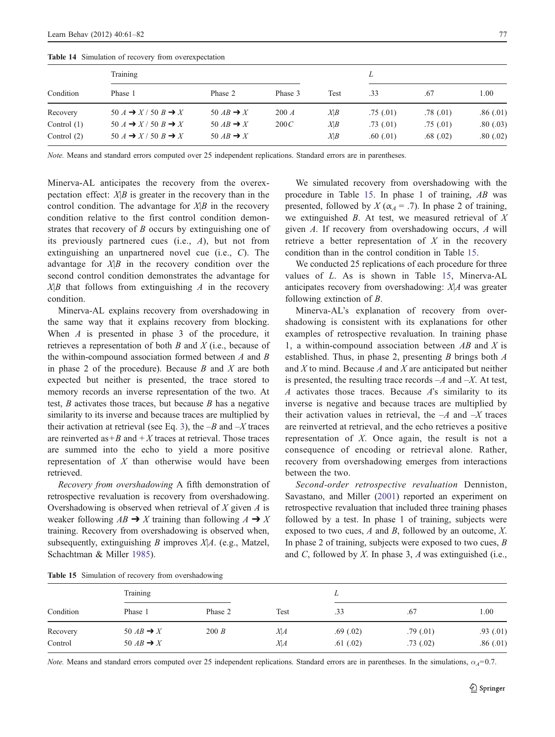| Condition     | Training                                  |                       | ⊥       |      |           |          |           |
|---------------|-------------------------------------------|-----------------------|---------|------|-----------|----------|-----------|
|               | Phase 1                                   | Phase 2               | Phase 3 | Test | .33       | .67      | 1.00      |
| Recovery      | $50 A \rightarrow X / 50 B \rightarrow X$ | 50 $AB \rightarrow X$ | 200A    | X B  | .75(0.01) | .78(01)  | .86(0.01) |
| Control $(1)$ | $50 A \rightarrow X / 50 B \rightarrow X$ | 50 $AB \rightarrow X$ | 200C    | X B  | .73(01)   | .75(01)  | .80(.03)  |
| Control $(2)$ | $50 A \rightarrow X / 50 B \rightarrow X$ | 50 $AB \rightarrow X$ |         | X B  | .60(0.01) | .68(.02) | .80(.02)  |

<span id="page-16-0"></span>Table 14 Simulation of recovery from overexpectation

Note. Means and standard errors computed over 25 independent replications. Standard errors are in parentheses.

Minerva-AL anticipates the recovery from the overexpectation effect:  $X|B$  is greater in the recovery than in the control condition. The advantage for  $X/B$  in the recovery condition relative to the first control condition demonstrates that recovery of  $B$  occurs by extinguishing one of its previously partnered cues (i.e., A), but not from extinguishing an unpartnered novel cue (i.e., C). The advantage for  $X|B$  in the recovery condition over the second control condition demonstrates the advantage for  $X|B$  that follows from extinguishing A in the recovery condition.

Minerva-AL explains recovery from overshadowing in the same way that it explains recovery from blocking. When  $A$  is presented in phase 3 of the procedure, it retrieves a representation of both  $B$  and  $X$  (i.e., because of the within-compound association formed between  $A$  and  $B$ in phase 2 of the procedure). Because  $B$  and  $X$  are both expected but neither is presented, the trace stored to memory records an inverse representation of the two. At test,  $B$  activates those traces, but because  $B$  has a negative similarity to its inverse and because traces are multiplied by their activation at retrieval (see Eq. [3](#page-2-0)), the  $-B$  and  $-X$  traces are reinverted as + B and + X traces at retrieval. Those traces are summed into the echo to yield a more positive representation of  $X$  than otherwise would have been retrieved.

Recovery from overshadowing A fifth demonstration of retrospective revaluation is recovery from overshadowing. Overshadowing is observed when retrieval of  $X$  given  $A$  is weaker following  $AB \rightarrow X$  training than following  $A \rightarrow X$ training. Recovery from overshadowing is observed when, subsequently, extinguishing  $B$  improves  $X|A$ . (e.g., Matzel, Schachtman & Miller [1985](#page-20-0)).

We simulated recovery from overshadowing with the procedure in Table 15. In phase 1 of training, AB was presented, followed by  $X$  ( $\alpha_A$  = .7). In phase 2 of training, we extinguished  $B$ . At test, we measured retrieval of  $X$ given A. If recovery from overshadowing occurs, A will retrieve a better representation of  $X$  in the recovery condition than in the control condition in Table 15.

We conducted 25 replications of each procedure for three values of L. As is shown in Table 15, Minerva-AL anticipates recovery from overshadowing: X|A was greater following extinction of B.

Minerva-AL's explanation of recovery from overshadowing is consistent with its explanations for other examples of retrospective revaluation. In training phase 1, a within-compound association between  $AB$  and  $X$  is established. Thus, in phase 2, presenting B brings both A and  $X$  to mind. Because  $A$  and  $X$  are anticipated but neither is presented, the resulting trace records  $-A$  and  $-X$ . At test, A activates those traces. Because  $A$ 's similarity to its inverse is negative and because traces are multiplied by their activation values in retrieval, the  $-A$  and  $-X$  traces are reinverted at retrieval, and the echo retrieves a positive representation of X. Once again, the result is not a consequence of encoding or retrieval alone. Rather, recovery from overshadowing emerges from interactions between the two.

Second-order retrospective revaluation Denniston, Savastano, and Miller [\(2001](#page-19-0)) reported an experiment on retrospective revaluation that included three training phases followed by a test. In phase 1 of training, subjects were exposed to two cues, A and B, followed by an outcome, X. In phase 2 of training, subjects were exposed to two cues,  $B$ and C, followed by X. In phase 3,  $\Lambda$  was extinguished (i.e.,

|  |  |  |  | Table 15 Simulation of recovery from overshadowing |
|--|--|--|--|----------------------------------------------------|
|--|--|--|--|----------------------------------------------------|

| Condition | Training              |         |                   | L        |           |          |  |  |  |  |
|-----------|-----------------------|---------|-------------------|----------|-----------|----------|--|--|--|--|
|           | Phase 1               | Phase 2 | Test              | .33      | .67       | 00.1     |  |  |  |  |
| Recovery  | 50 $AB \rightarrow X$ | 200B    | $X\!\!\mid\!\! A$ | .69(.02) | .79(0.01) | .93(.01) |  |  |  |  |
| Control   | 50 $AB \rightarrow X$ |         | $X\!\!\mid\!\! A$ | .61(02)  | .73(02)   | .86(.01) |  |  |  |  |

*Note.* Means and standard errors computed over 25 independent replications. Standard errors are in parentheses. In the simulations,  $\alpha_A = 0.7$ .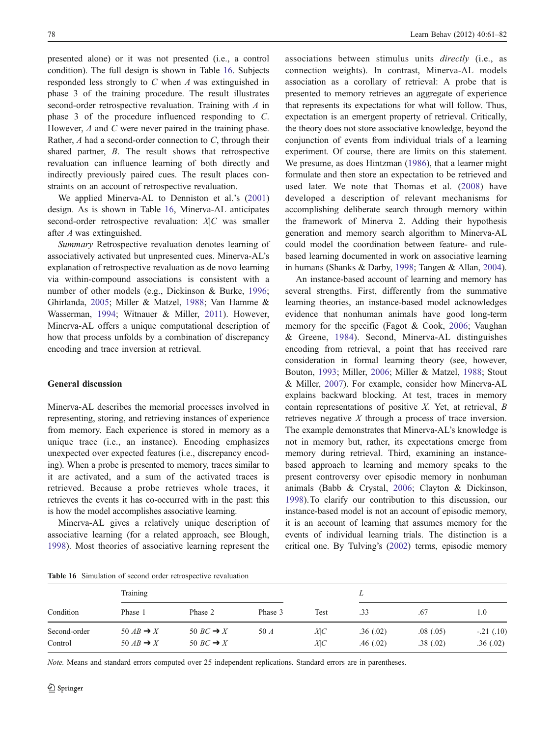presented alone) or it was not presented (i.e., a control condition). The full design is shown in Table 16. Subjects responded less strongly to C when A was extinguished in phase 3 of the training procedure. The result illustrates second-order retrospective revaluation. Training with A in phase 3 of the procedure influenced responding to C. However, A and C were never paired in the training phase. Rather,  $A$  had a second-order connection to  $C$ , through their shared partner, B. The result shows that retrospective revaluation can influence learning of both directly and indirectly previously paired cues. The result places constraints on an account of retrospective revaluation.

We applied Minerva-AL to Denniston et al.'s ([2001\)](#page-19-0) design. As is shown in Table 16, Minerva-AL anticipates second-order retrospective revaluation:  $X|C$  was smaller after A was extinguished.

Summary Retrospective revaluation denotes learning of associatively activated but unpresented cues. Minerva-AL's explanation of retrospective revaluation as de novo learning via within-compound associations is consistent with a number of other models (e.g., Dickinson & Burke, [1996](#page-19-0); Ghirlanda, [2005](#page-19-0); Miller & Matzel, [1988](#page-20-0); Van Hamme & Wasserman, [1994](#page-21-0); Witnauer & Miller, [2011](#page-21-0)). However, Minerva-AL offers a unique computational description of how that process unfolds by a combination of discrepancy encoding and trace inversion at retrieval.

### General discussion

Minerva-AL describes the memorial processes involved in representing, storing, and retrieving instances of experience from memory. Each experience is stored in memory as a unique trace (i.e., an instance). Encoding emphasizes unexpected over expected features (i.e., discrepancy encoding). When a probe is presented to memory, traces similar to it are activated, and a sum of the activated traces is retrieved. Because a probe retrieves whole traces, it retrieves the events it has co-occurred with in the past: this is how the model accomplishes associative learning.

Minerva-AL gives a relatively unique description of associative learning (for a related approach, see Blough, [1998\)](#page-19-0). Most theories of associative learning represent the

associations between stimulus units directly (i.e., as connection weights). In contrast, Minerva-AL models association as a corollary of retrieval: A probe that is presented to memory retrieves an aggregate of experience that represents its expectations for what will follow. Thus, expectation is an emergent property of retrieval. Critically, the theory does not store associative knowledge, beyond the conjunction of events from individual trials of a learning experiment. Of course, there are limits on this statement. We presume, as does Hintzman ([1986\)](#page-19-0), that a learner might formulate and then store an expectation to be retrieved and used later. We note that Thomas et al. ([2008](#page-21-0)) have developed a description of relevant mechanisms for accomplishing deliberate search through memory within the framework of Minerva 2. Adding their hypothesis generation and memory search algorithm to Minerva-AL could model the coordination between feature- and rulebased learning documented in work on associative learning in humans (Shanks & Darby, [1998](#page-21-0); Tangen & Allan, [2004\)](#page-21-0).

An instance-based account of learning and memory has several strengths. First, differently from the summative learning theories, an instance-based model acknowledges evidence that nonhuman animals have good long-term memory for the specific (Fagot & Cook, [2006](#page-19-0); Vaughan & Greene, [1984\)](#page-21-0). Second, Minerva-AL distinguishes encoding from retrieval, a point that has received rare consideration in formal learning theory (see, however, Bouton, [1993](#page-19-0); Miller, [2006](#page-20-0); Miller & Matzel, [1988](#page-20-0); Stout & Miller, [2007](#page-21-0)). For example, consider how Minerva-AL explains backward blocking. At test, traces in memory contain representations of positive X. Yet, at retrieval, B retrieves negative X through a process of trace inversion. The example demonstrates that Minerva-AL's knowledge is not in memory but, rather, its expectations emerge from memory during retrieval. Third, examining an instancebased approach to learning and memory speaks to the present controversy over episodic memory in nonhuman animals (Babb & Crystal, [2006](#page-19-0); Clayton & Dickinson, [1998](#page-19-0)).To clarify our contribution to this discussion, our instance-based model is not an account of episodic memory, it is an account of learning that assumes memory for the events of individual learning trials. The distinction is a critical one. By Tulving's [\(2002\)](#page-21-0) terms, episodic memory

Table 16 Simulation of second order retrospective revaluation

|              |                       | Training              |         |            | L        |          |             |
|--------------|-----------------------|-----------------------|---------|------------|----------|----------|-------------|
| Condition    | Phase 1               | Phase 2               | Phase 3 | Test       | .33      | .67      | 1.0         |
| Second-order | 50 $AB \rightarrow X$ | 50 BC $\rightarrow$ X | 50 A    | X C        | .36(.02) | .08(.05) | $-.21(.10)$ |
| Control      | $50 AB \rightarrow X$ | 50 BC $\rightarrow$ X |         | $X \mid C$ | .46(.02) | .38(.02) | .36(.02)    |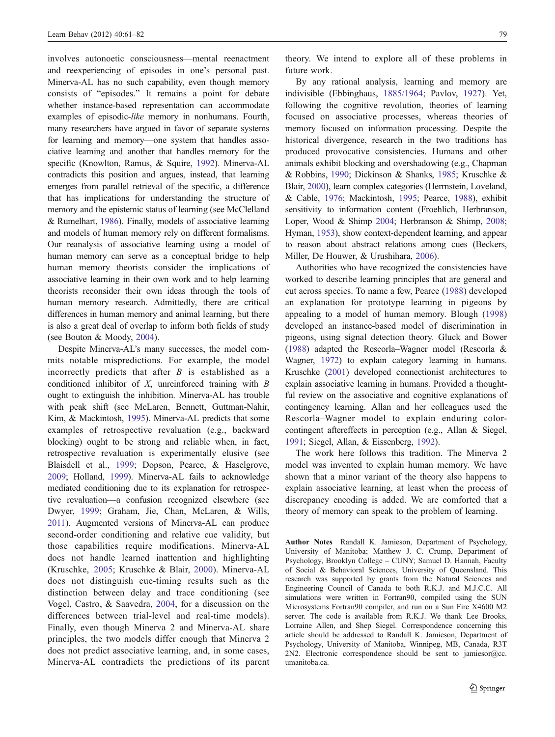involves autonoetic consciousness—mental reenactment and reexperiencing of episodes in one's personal past. Minerva-AL has no such capability, even though memory consists of "episodes." It remains a point for debate whether instance-based representation can accommodate examples of episodic-like memory in nonhumans. Fourth, many researchers have argued in favor of separate systems for learning and memory—one system that handles associative learning and another that handles memory for the specific (Knowlton, Ramus, & Squire, [1992](#page-20-0)). Minerva-AL contradicts this position and argues, instead, that learning emerges from parallel retrieval of the specific, a difference that has implications for understanding the structure of memory and the epistemic status of learning (see McClelland & Rumelhart, [1986](#page-20-0)). Finally, models of associative learning and models of human memory rely on different formalisms. Our reanalysis of associative learning using a model of human memory can serve as a conceptual bridge to help human memory theorists consider the implications of associative learning in their own work and to help learning theorists reconsider their own ideas through the tools of human memory research. Admittedly, there are critical differences in human memory and animal learning, but there is also a great deal of overlap to inform both fields of study (see Bouton & Moody, [2004\)](#page-19-0).

Despite Minerva-AL's many successes, the model commits notable mispredictions. For example, the model incorrectly predicts that after  $B$  is established as a conditioned inhibitor of  $X$ , unreinforced training with  $B$ ought to extinguish the inhibition. Minerva-AL has trouble with peak shift (see McLaren, Bennett, Guttman-Nahir, Kim, & Mackintosh, [1995](#page-20-0)). Minerva-AL predicts that some examples of retrospective revaluation (e.g., backward blocking) ought to be strong and reliable when, in fact, retrospective revaluation is experimentally elusive (see Blaisdell et al., [1999;](#page-19-0) Dopson, Pearce, & Haselgrove, [2009;](#page-19-0) Holland, [1999](#page-19-0)). Minerva-AL fails to acknowledge mediated conditioning due to its explanation for retrospective revaluation—a confusion recognized elsewhere (see Dwyer, [1999;](#page-19-0) Graham, Jie, Chan, McLaren, & Wills, [2011](#page-19-0)). Augmented versions of Minerva-AL can produce second-order conditioning and relative cue validity, but those capabilities require modifications. Minerva-AL does not handle learned inattention and highlighting (Kruschke, [2005](#page-20-0); Kruschke & Blair, [2000\)](#page-20-0). Minerva-AL does not distinguish cue-timing results such as the distinction between delay and trace conditioning (see Vogel, Castro, & Saavedra, [2004,](#page-21-0) for a discussion on the differences between trial-level and real-time models). Finally, even though Minerva 2 and Minerva-AL share principles, the two models differ enough that Minerva 2 does not predict associative learning, and, in some cases, Minerva-AL contradicts the predictions of its parent

theory. We intend to explore all of these problems in future work.

By any rational analysis, learning and memory are indivisible (Ebbinghaus, [1885/1964](#page-19-0); Pavlov, [1927](#page-20-0)). Yet, following the cognitive revolution, theories of learning focused on associative processes, whereas theories of memory focused on information processing. Despite the historical divergence, research in the two traditions has produced provocative consistencies. Humans and other animals exhibit blocking and overshadowing (e.g., Chapman & Robbins, [1990](#page-19-0); Dickinson & Shanks, [1985](#page-19-0); Kruschke & Blair, [2000](#page-20-0)), learn complex categories (Herrnstein, Loveland, & Cable, [1976;](#page-19-0) Mackintosh, [1995;](#page-20-0) Pearce, [1988](#page-20-0)), exhibit sensitivity to information content (Froehlich, Herbranson, Loper, Wood & Shimp [2004;](#page-19-0) Herbranson & Shimp, [2008;](#page-19-0) Hyman, [1953](#page-20-0)), show context-dependent learning, and appear to reason about abstract relations among cues (Beckers, Miller, De Houwer, & Urushihara, [2006\)](#page-19-0).

Authorities who have recognized the consistencies have worked to describe learning principles that are general and cut across species. To name a few, Pearce ([1988\)](#page-20-0) developed an explanation for prototype learning in pigeons by appealing to a model of human memory. Blough [\(1998](#page-19-0)) developed an instance-based model of discrimination in pigeons, using signal detection theory. Gluck and Bower [\(1988\)](#page-19-0) adapted the Rescorla–Wagner model (Rescorla & Wagner, [1972\)](#page-21-0) to explain category learning in humans. Kruschke ([2001](#page-20-0)) developed connectionist architectures to explain associative learning in humans. Provided a thoughtful review on the associative and cognitive explanations of contingency learning. Allan and her colleagues used the Rescorla–Wagner model to explain enduring colorcontingent aftereffects in perception (e.g., Allan & Siegel, [1991;](#page-19-0) Siegel, Allan, & Eissenberg, [1992\)](#page-21-0).

The work here follows this tradition. The Minerva 2 model was invented to explain human memory. We have shown that a minor variant of the theory also happens to explain associative learning, at least when the process of discrepancy encoding is added. We are comforted that a theory of memory can speak to the problem of learning.

Author Notes Randall K. Jamieson, Department of Psychology, University of Manitoba; Matthew J. C. Crump, Department of Psychology, Brooklyn College – CUNY; Samuel D. Hannah, Faculty of Social & Behavioral Sciences, University of Queensland. This research was supported by grants from the Natural Sciences and Engineering Council of Canada to both R.K.J. and M.J.C.C. All simulations were written in Fortran90, compiled using the SUN Microsystems Fortran90 compiler, and run on a Sun Fire X4600 M2 server. The code is available from R.K.J. We thank Lee Brooks, Lorraine Allen, and Shep Siegel. Correspondence concerning this article should be addressed to Randall K. Jamieson, Department of Psychology, University of Manitoba, Winnipeg, MB, Canada, R3T 2N2. Electronic correspondence should be sent to jamiesor $@cc$ . umanitoba.ca.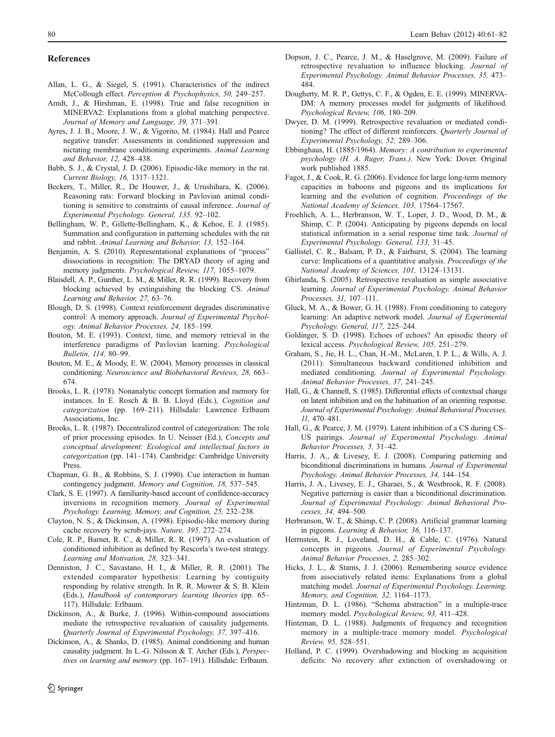#### <span id="page-19-0"></span>References

- Allan, L. G., & Siegel, S. (1991). Characteristics of the indirect McCollough effect. Perception & Psychophysics, 50, 249–257.
- Arndt, J., & Hirshman, E. (1998). True and false recognition in MINERVA2: Explanations from a global matching perspective. Journal of Memory and Language, 39, 371–391.
- Ayres, J. J. B., Moore, J. W., & Vigorito, M. (1984). Hall and Pearce negative transfer: Assessments in conditioned suppression and nictating membrane conditioning experiments. Animal Learning and Behavior, 12, 428–438.
- Babb, S. J., & Crystal, J. D. (2006). Episodic-like memory in the rat. Current Biology, 16, 1317–1321.
- Beckers, T., Miller, R., De Houwer, J., & Urushihara, K. (2006). Reasoning rats: Forward blocking in Pavlovian animal conditioning is sensitive to constraints of causal inference. Journal of Experimental Psychology. General, 135, 92–102.
- Bellingham, W. P., Gillette-Bellingham, K., & Kehoe, E. J. (1985). Summation and configuration in patterning schedules with the rat and rabbit. Animal Learning and Behavior, 13, 152–164.
- Benjamin, A. S. (2010). Representational explanations of "process" dissociations in recognition: The DRYAD theory of aging and memory judgments. Psychological Review, 117, 1055–1079.
- Blaisdell, A. P., Gunther, L. M., & Miller, R. R. (1999). Recovery from blocking achieved by extinguishing the blocking CS. Animal Learning and Behavior, 27, 63–76.
- Blough, D. S. (1998). Context reinforcement degrades discriminative control: A memory approach. Journal of Experimental Psychology. Animal Behavior Processes, 24, 185–199.
- Bouton, M. E. (1993). Context, time, and memory retrieval in the interference paradigms of Pavlovian learning. Psychological Bulletin, 114, 80–99.
- Bouton, M. E., & Moody, E. W. (2004). Memory processes in classical conditioning. Neuroscience and Biobehavioral Reviews, 28, 663– 674.
- Brooks, L. R. (1978). Nonanalytic concept formation and memory for instances. In E. Rosch & B. B. Lloyd (Eds.), Cognition and categorization (pp. 169–211). Hillsdale: Lawrence Erlbaum Associations, Inc.
- Brooks, L. R. (1987). Decentralized control of categorization: The role of prior processing episodes. In U. Neisser (Ed.), Concepts and conceptual development: Ecological and intellectual factors in categorization (pp. 141–174). Cambridge: Cambridge University Press.
- Chapman, G. B., & Robbins, S. J. (1990). Cue interaction in human contingency judgment. Memory and Cognition, 18, 537–545.
- Clark, S. E. (1997). A familiarity-based account of confidence-accuracy inversions in recognition memory. Journal of Experimental Psychology. Learning, Memory, and Cognition, 25, 232–238.
- Clayton, N. S., & Dickinson, A. (1998). Episodic-like memory during cache recovery by scrub-jays. Nature, 395, 272–274.
- Cole, R. P., Barnet, R. C., & Miller, R. R. (1997). An evaluation of conditioned inhibition as defined by Rescorla's two-test strategy. Learning and Motivation, 28, 323–341.
- Denniston, J. C., Savastano, H. I., & Miller, R. R. (2001). The extended comparator hypothesis: Learning by contiguity responding by relative strength. In R. R. Mowrer & S. B. Klein (Eds.), Handbook of contemporary learning theories (pp. 65– 117). Hillsdale: Erlbaum.
- Dickinson, A., & Burke, J. (1996). Within-compound associations mediate the retrospective revaluation of causality judgements. Quarterly Journal of Experimental Psychology, 37, 397–416.
- Dickinson, A., & Shanks, D. (1985). Animal conditioning and human causality judgment. In L.-G. Nilsson & T. Archer (Eds.), Perspectives on learning and memory (pp. 167–191). Hillsdale: Erlbaum.
- Dopson, J. C., Pearce, J. M., & Haselgrove, M. (2009). Failure of retrospective revaluation to influence blocking. Journal of Experimental Psychology. Animal Behavior Processes, 35, 473– 484.
- Dougherty, M. R. P., Gettys, C. F., & Ogden, E. E. (1999). MINERVA-DM: A memory processes model for judgments of likelihood. Psychological Review, 106, 180–209.
- Dwyer, D. M. (1999). Retrospective revaluation or mediated conditioning? The effect of different reinforcers. Quarterly Journal of Experimental Psychology, 52, 289–306.
- Ebbinghaus, H. (1885/1964). Memory: A contribution to experimental psychology (H. A. Ruger, Trans.). New York: Dover. Original work published 1885.
- Fagot, J., & Cook, R. G. (2006). Evidence for large long-term memory capacities in baboons and pigeons and its implications for learning and the evolution of cognition. Proceedings of the National Academy of Sciences, 103, 17564–17567.
- Froehlich, A. L., Herbranson, W. T., Loper, J. D., Wood, D. M., & Shimp, C. P. (2004). Anticipating by pigeons depends on local statistical information in a serial response time task. Journal of Experimental Psychology. General, 133, 31–45.
- Gallistel, C. R., Balsam, P. D., & Fairhurst, S. (2004). The learning curve: Implications of a quantitative analysis. Proceedings of the National Academy of Sciences, 101, 13124–13131.
- Ghirlanda, S. (2005). Retrospective revaluation as simple associative learning. Journal of Experimental Psychology. Animal Behavior Processes, 31, 107–111.
- Gluck, M. A., & Bower, G. H. (1988). From conditioning to category learning: An adaptive network model. Journal of Experimental Psychology. General, 117, 225–244.
- Goldinger, S. D. (1998). Echoes of echoes? An episodic theory of lexical access. Psychological Review, 105, 251–279.
- Graham, S., Jie, H. L., Chan, H.-M., McLaren, I. P. L., & Wills, A. J. (2011). Simultaneous backward conditioned inhibition and mediated conditioning. Journal of Experimental Psychology. Animal Behavior Processes, 37, 241–245.
- Hall, G., & Channell, S. (1985). Differential effects of contextual change on latent inhibition and on the habituation of an orienting response. Journal of Experimental Psychology: Animal Behavioral Processes, 11, 470–481.
- Hall, G., & Pearce, J. M. (1979). Latent inhibition of a CS during CS– US pairings. Journal of Experimental Psychology. Animal Behavior Processes, 5, 31–42.
- Harris, J. A., & Livesey, E. J. (2008). Comparing patterning and biconditional discriminations in humans. Journal of Experimental Psychology. Animal Behavior Processes, 34, 144–154.
- Harris, J. A., Livesey, E. J., Gharaei, S., & Westbrook, R. F. (2008). Negative patterning is easier than a biconditional discrimination. Journal of Experimental Psychology: Animal Behavioral Processes, 34, 494–500.
- Herbranson, W. T., & Shimp, C. P. (2008). Artificial grammar learning in pigeons. Learning & Behavior, 36, 116–137.
- Herrnstein, R. J., Loveland, D. H., & Cable, C. (1976). Natural concepts in pigeons. Journal of Experimental Psychology. Animal Behavior Processes, 2, 285–302.
- Hicks, J. L., & Starns, J. J. (2006). Remembering source evidence from associatively related items: Explanations from a global matching model. Journal of Experimental Psychology. Learning, Memory, and Cognition, 32, 1164–1173.
- Hintzman, D. L. (1986). "Schema abstraction" in a multiple-trace memory model. Psychological Review, 93, 411–428.
- Hintzman, D. L. (1988). Judgments of frequency and recognition memory in a multiple-trace memory model. Psychological Review, 95, 528–551.
- Holland, P. C. (1999). Overshadowing and blocking as acquisition deficits: No recovery after extinction of overshadowing or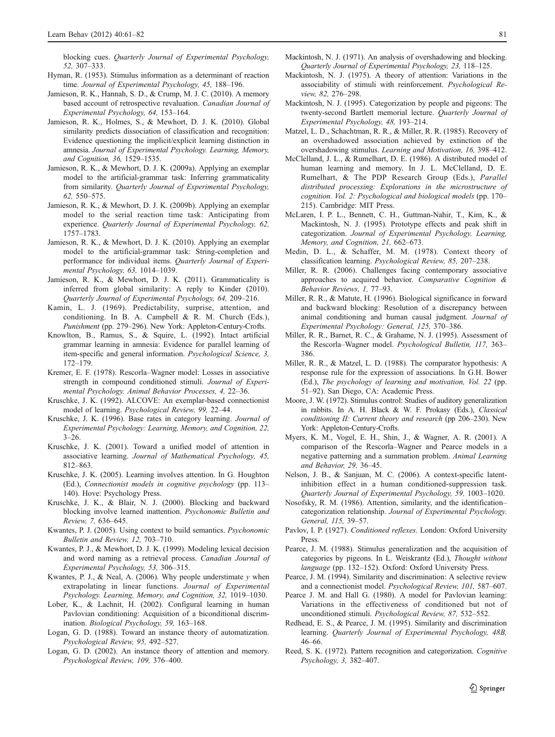<span id="page-20-0"></span>blocking cues. Quarterly Journal of Experimental Psychology, 52, 307–333.

- Hyman, R. (1953). Stimulus information as a determinant of reaction time. Journal of Experimental Psychology, 45, 188–196.
- Jamieson, R. K., Hannah, S. D., & Crump, M. J. C. (2010). A memory based account of retrospective revaluation. Canadian Journal of Experimental Psychology, 64, 153–164.
- Jamieson, R. K., Holmes, S., & Mewhort, D. J. K. (2010). Global similarity predicts dissociation of classification and recognition: Evidence questioning the implicit/explicit learning distinction in amnesia. Journal of Experimental Psychology. Learning, Memory, and Cognition, 36, 1529–1535.
- Jamieson, R. K., & Mewhort, D. J. K. (2009a). Applying an exemplar model to the artificial-grammar task: Inferring grammaticality from similarity. Quarterly Journal of Experimental Psychology, 62, 550–575.
- Jamieson, R. K., & Mewhort, D. J. K. (2009b). Applying an exemplar model to the serial reaction time task: Anticipating from experience. Quarterly Journal of Experimental Psychology, 62, 1757–1783.
- Jamieson, R. K., & Mewhort, D. J. K. (2010). Applying an exemplar model to the artificial-grammar task: String-completion and performance for individual items. Quarterly Journal of Experimental Psychology, 63, 1014–1039.
- Jamieson, R. K., & Mewhort, D. J. K. (2011). Grammaticality is inferred from global similarity: A reply to Kinder (2010). Quarterly Journal of Experimental Psychology, 64, 209–216.
- Kamin, L. J. (1969). Predictability, surprise, attention, and conditioning. In B. A. Campbell & R. M. Church (Eds.), Punishment (pp. 279–296). New York: Appleton-Century-Crofts.
- Knowlton, B., Ramus, S., & Squire, L. (1992). Intact artificial grammar learning in amnesia: Evidence for parallel learning of item-specific and general information. Psychological Science, 3, 172–179.
- Kremer, E. F. (1978). Rescorla–Wagner model: Losses in associative strength in compound conditioned stimuli. Journal of Experimental Psychology. Animal Behavior Processes, 4, 22–36.
- Kruschke, J. K. (1992). ALCOVE: An exemplar-based connectionist model of learning. Psychological Review, 99, 22–44.
- Kruschke, J. K. (1996). Base rates in category learning. Journal of Experimental Psychology: Learning, Memory, and Cognition, 22, 3–26.
- Kruschke, J. K. (2001). Toward a unified model of attention in associative learning. Journal of Mathematical Psychology, 45, 812–863.
- Kruschke, J. K. (2005). Learning involves attention. In G. Houghton (Ed.), Connectionist models in cognitive psychology (pp. 113– 140). Hove: Psychology Press.
- Kruschke, J. K., & Blair, N. J. (2000). Blocking and backward blocking involve learned inattention. Psychonomic Bulletin and Review, 7, 636–645.
- Kwantes, P. J. (2005). Using context to build semantics. Psychonomic Bulletin and Review, 12, 703–710.
- Kwantes, P. J., & Mewhort, D. J. K. (1999). Modeling lexical decision and word naming as a retrieval process. Canadian Journal of Experimental Psychology, 53, 306–315.
- Kwantes, P. J., & Neal, A. (2006). Why people understimate  $y$  when extrapolating in linear functions. Journal of Experimental Psychology. Learning, Memory, and Cognition, 32, 1019–1030.
- Lober, K., & Lachnit, H. (2002). Configural learning in human Pavlovian conditioning: Acquisition of a biconditional discrimination. Biological Psychology, 59, 163–168.
- Logan, G. D. (1988). Toward an instance theory of automatization. Psychological Review, 95, 492–527.
- Logan, G. D. (2002). An instance theory of attention and memory. Psychological Review, 109, 376–400.
- Mackintosh, N. J. (1971). An analysis of overshadowing and blocking. Quarterly Journal of Experimental Psychology, 23, 118–125.
- Mackintosh, N. J. (1975). A theory of attention: Variations in the associability of stimuli with reinforcement. Psychological Review, 82, 276–298.
- Mackintosh, N. J. (1995). Categorization by people and pigeons: The twenty-second Bartlett memorial lecture. Quarterly Journal of Experimental Psychology, 48, 193–214.
- Matzel, L. D., Schachtman, R. R., & Miller, R. R. (1985). Recovery of an overshadowed association achieved by extinction of the overshadowing stimulus. Learning and Motivation, 16, 398–412.
- McClelland, J. L., & Rumelhart, D. E. (1986). A distributed model of human learning and memory. In J. L. McClelland, D. E. Rumelhart, & The PDP Research Group (Eds.), Parallel distributed processing: Explorations in the microstructure of cognition. Vol. 2: Psychological and biological models (pp. 170– 215). Cambridge: MIT Press.
- McLaren, I. P. L., Bennett, C. H., Guttman-Nahir, T., Kim, K., & Mackintosh, N. J. (1995). Prototype effects and peak shift in categorization. Journal of Experimental Psychology. Learning, Memory, and Cognition, 21, 662-673.
- Medin, D. L., & Schaffer, M. M. (1978). Context theory of classification learning. Psychological Review, 85, 207–238.
- Miller, R. R. (2006). Challenges facing contemporary associative approaches to acquired behavior. Comparative Cognition & Behavior Reviews, 1, 77–93.
- Miller, R. R., & Matute, H. (1996). Biological significance in forward and backward blocking: Resolution of a discrepancy between animal conditioning and human causal judgment. Journal of Experimental Psychology: General, 125, 370–386.
- Miller, R. R., Barnet, R. C., & Grahame, N. J. (1995). Assessment of the Rescorla–Wagner model. Psychological Bulletin, 117, 363– 386.
- Miller, R. R., & Matzel, L. D. (1988). The comparator hypothesis: A response rule for the expression of associations. In G.H. Bower (Ed.), The psychology of learning and motivation, Vol. 22 (pp. 51–92). San Diego, CA: Academic Press.
- Moore, J. W. (1972). Stimulus control: Studies of auditory generalization in rabbits. In A. H. Black & W. F. Prokasy (Eds.), Classical conditioning II: Current theory and research (pp 206–230). New York: Appleton-Century-Crofts.
- Myers, K. M., Vogel, E. H., Shin, J., & Wagner, A. R. (2001). A comparison of the Rescorla–Wagner and Pearce models in a negative patterning and a summation problem. Animal Learning and Behavior, 29, 36–45.
- Nelson, J. B., & Sanjuan, M. C. (2006). A context-specific latentinhibition effect in a human conditioned-suppression task. Quarterly Journal of Experimental Psychology, 59, 1003–1020.
- Nosofsky, R. M. (1986). Attention, similarity, and the identification– categorization relationship. Journal of Experimental Psychology. General, 115, 39–57.
- Pavlov, I. P. (1927). Conditioned reflexes. London: Oxford University Press.
- Pearce, J. M. (1988). Stimulus generalization and the acquisition of categories by pigeons. In L. Weiskrantz (Ed.), Thought without language (pp. 132–152). Oxford: Oxford University Press.
- Pearce, J. M. (1994). Similarity and discrimination: A selective review and a connectionist model. Psychological Review, 101, 587–607.
- Pearce J. M. and Hall G. (1980). A model for Pavlovian learning: Variations in the effectiveness of conditioned but not of unconditioned stimuli. Psychological Review, 87, 532–552.
- Redhead, E. S., & Pearce, J. M. (1995). Similarity and discrimination learning. Quarterly Journal of Experimental Psychology, 48B, 46–66.
- Reed, S. K. (1972). Pattern recognition and categorization. Cognitive Psychology, 3, 382–407.